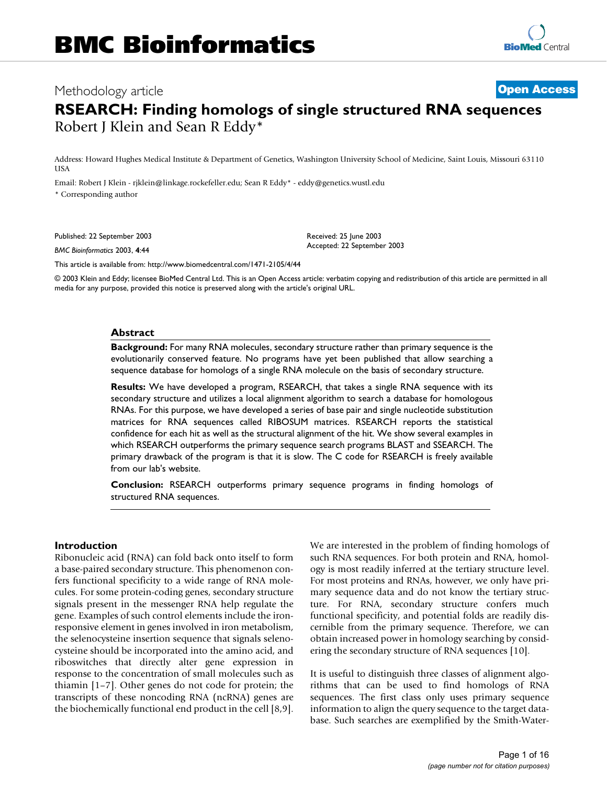# Methodology article **[Open Access](http://www.biomedcentral.com/info/about/charter/) RSEARCH: Finding homologs of single structured RNA sequences** Robert J Klein and Sean R Eddy\*

Address: Howard Hughes Medical Institute & Department of Genetics, Washington University School of Medicine, Saint Louis, Missouri 63110 USA

Email: Robert J Klein - rjklein@linkage.rockefeller.edu; Sean R Eddy\* - eddy@genetics.wustl.edu \* Corresponding author

Published: 22 September 2003

*BMC Bioinformatics* 2003, **4**:44

Received: 25 June 2003 Accepted: 22 September 2003

[This article is available from: http://www.biomedcentral.com/1471-2105/4/44](http://www.biomedcentral.com/1471-2105/4/44)

© 2003 Klein and Eddy; licensee BioMed Central Ltd. This is an Open Access article: verbatim copying and redistribution of this article are permitted in all media for any purpose, provided this notice is preserved along with the article's original URL.

#### **Abstract**

**Background:** For many RNA molecules, secondary structure rather than primary sequence is the evolutionarily conserved feature. No programs have yet been published that allow searching a sequence database for homologs of a single RNA molecule on the basis of secondary structure.

**Results:** We have developed a program, RSEARCH, that takes a single RNA sequence with its secondary structure and utilizes a local alignment algorithm to search a database for homologous RNAs. For this purpose, we have developed a series of base pair and single nucleotide substitution matrices for RNA sequences called RIBOSUM matrices. RSEARCH reports the statistical confidence for each hit as well as the structural alignment of the hit. We show several examples in which RSEARCH outperforms the primary sequence search programs BLAST and SSEARCH. The primary drawback of the program is that it is slow. The C code for RSEARCH is freely available from our lab's website.

**Conclusion:** RSEARCH outperforms primary sequence programs in finding homologs of structured RNA sequences.

#### **Introduction**

Ribonucleic acid (RNA) can fold back onto itself to form a base-paired secondary structure. This phenomenon confers functional specificity to a wide range of RNA molecules. For some protein-coding genes, secondary structure signals present in the messenger RNA help regulate the gene. Examples of such control elements include the ironresponsive element in genes involved in iron metabolism, the selenocysteine insertion sequence that signals selenocysteine should be incorporated into the amino acid, and riboswitches that directly alter gene expression in response to the concentration of small molecules such as thiamin [1–7]. Other genes do not code for protein; the transcripts of these noncoding RNA (ncRNA) genes are the biochemically functional end product in the cell [8,9]. We are interested in the problem of finding homologs of such RNA sequences. For both protein and RNA, homology is most readily inferred at the tertiary structure level. For most proteins and RNAs, however, we only have primary sequence data and do not know the tertiary structure. For RNA, secondary structure confers much functional specificity, and potential folds are readily discernible from the primary sequence. Therefore, we can obtain increased power in homology searching by considering the secondary structure of RNA sequences [10].

It is useful to distinguish three classes of alignment algorithms that can be used to find homologs of RNA sequences. The first class only uses primary sequence information to align the query sequence to the target database. Such searches are exemplified by the Smith-Water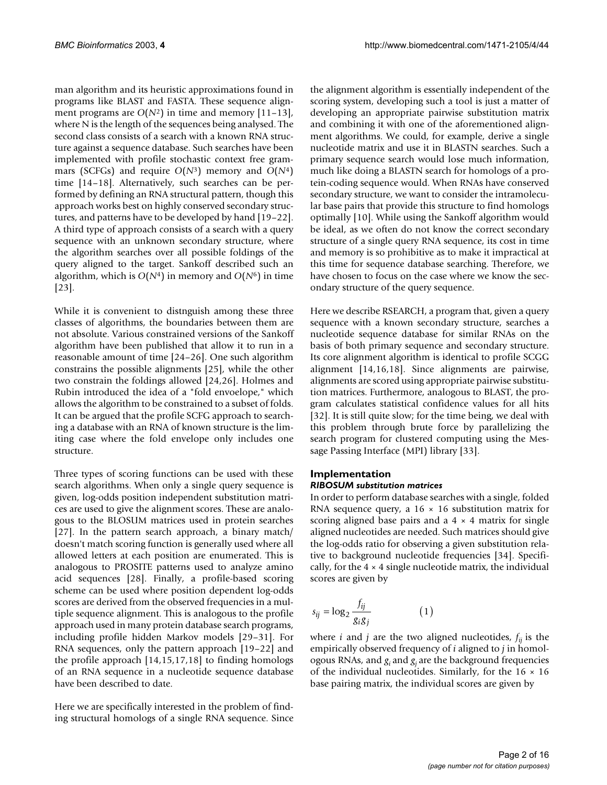man algorithm and its heuristic approximations found in programs like BLAST and FASTA. These sequence alignment programs are  $O(N^2)$  in time and memory [11–13], where N is the length of the sequences being analysed. The second class consists of a search with a known RNA structure against a sequence database. Such searches have been implemented with profile stochastic context free grammars (SCFGs) and require  $O(N^3)$  memory and  $O(N^4)$ time [14–18]. Alternatively, such searches can be performed by defining an RNA structural pattern, though this approach works best on highly conserved secondary structures, and patterns have to be developed by hand [19–22]. A third type of approach consists of a search with a query sequence with an unknown secondary structure, where the algorithm searches over all possible foldings of the query aligned to the target. Sankoff described such an algorithm, which is  $O(N^4)$  in memory and  $O(N^6)$  in time [23].

While it is convenient to distnguish among these three classes of algorithms, the boundaries between them are not absolute. Various constrained versions of the Sankoff algorithm have been published that allow it to run in a reasonable amount of time [24–26]. One such algorithm constrains the possible alignments [25], while the other two constrain the foldings allowed [24,26]. Holmes and Rubin introduced the idea of a "fold envoelope," which allows the algorithm to be constrained to a subset of folds. It can be argued that the profile SCFG approach to searching a database with an RNA of known structure is the limiting case where the fold envelope only includes one structure.

Three types of scoring functions can be used with these search algorithms. When only a single query sequence is given, log-odds position independent substitution matrices are used to give the alignment scores. These are analogous to the BLOSUM matrices used in protein searches [27]. In the pattern search approach, a binary match/ doesn't match scoring function is generally used where all allowed letters at each position are enumerated. This is analogous to PROSITE patterns used to analyze amino acid sequences [28]. Finally, a profile-based scoring scheme can be used where position dependent log-odds scores are derived from the observed frequencies in a multiple sequence alignment. This is analogous to the profile approach used in many protein database search programs, including profile hidden Markov models [29–31]. For RNA sequences, only the pattern approach [19–22] and the profile approach [14,15,17,18] to finding homologs of an RNA sequence in a nucleotide sequence database have been described to date.

Here we are specifically interested in the problem of finding structural homologs of a single RNA sequence. Since the alignment algorithm is essentially independent of the scoring system, developing such a tool is just a matter of developing an appropriate pairwise substitution matrix and combining it with one of the aforementioned alignment algorithms. We could, for example, derive a single nucleotide matrix and use it in BLASTN searches. Such a primary sequence search would lose much information, much like doing a BLASTN search for homologs of a protein-coding sequence would. When RNAs have conserved secondary structure, we want to consider the intramolecular base pairs that provide this structure to find homologs optimally [10]. While using the Sankoff algorithm would be ideal, as we often do not know the correct secondary structure of a single query RNA sequence, its cost in time and memory is so prohibitive as to make it impractical at this time for sequence database searching. Therefore, we have chosen to focus on the case where we know the secondary structure of the query sequence.

Here we describe RSEARCH, a program that, given a query sequence with a known secondary structure, searches a nucleotide sequence database for similar RNAs on the basis of both primary sequence and secondary structure. Its core alignment algorithm is identical to profile SCGG alignment [14,16,18]. Since alignments are pairwise, alignments are scored using appropriate pairwise substitution matrices. Furthermore, analogous to BLAST, the program calculates statistical confidence values for all hits [32]. It is still quite slow; for the time being, we deal with this problem through brute force by parallelizing the search program for clustered computing using the Message Passing Interface (MPI) library [33].

#### **Implementation** *RIBOSUM substitution matrices*

In order to perform database searches with a single, folded RNA sequence query, a  $16 \times 16$  substitution matrix for scoring aligned base pairs and a  $4 \times 4$  matrix for single aligned nucleotides are needed. Such matrices should give the log-odds ratio for observing a given substitution relative to background nucleotide frequencies [34]. Specifically, for the  $4 \times 4$  single nucleotide matrix, the individual scores are given by

$$
s_{ij} = \log_2 \frac{f_{ij}}{g_i g_j} \tag{1}
$$

where *i* and *j* are the two aligned nucleotides,  $f_{ii}$  is the empirically observed frequency of *i* aligned to *j* in homologous RNAs, and *gi* and *gj* are the background frequencies of the individual nucleotides. Similarly, for the  $16 \times 16$ base pairing matrix, the individual scores are given by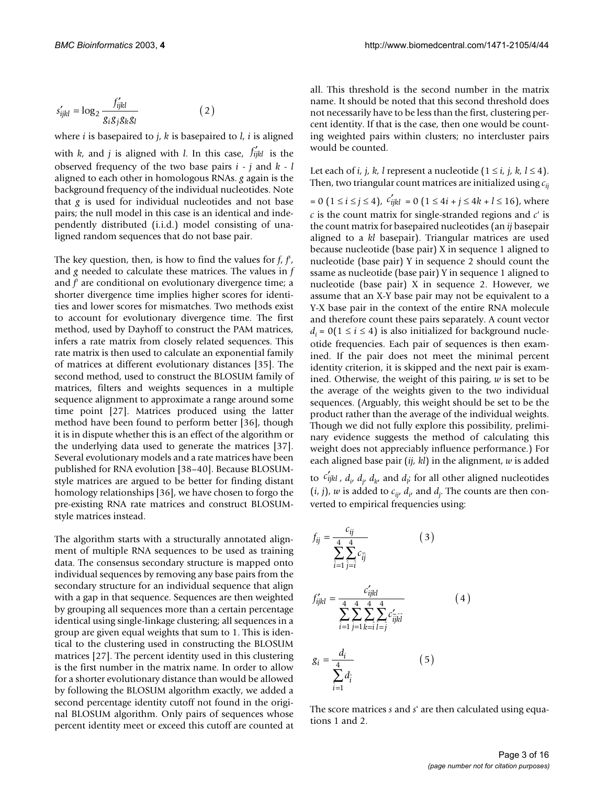$$
s'_{ijkl} = \log_2 \frac{f'_{ijkl}}{g_i g_j g_k g_l} \tag{2}
$$

where *i* is basepaired to *j*, *k* is basepaired to *l*, *i* is aligned

with *k*, and *j* is aligned with *l*. In this case,  $f'_{ijkl}$  is the observed frequency of the two base pairs *i* - *j* and *k* - *l* aligned to each other in homologous RNAs. *g* again is the background frequency of the individual nucleotides. Note that *g* is used for individual nucleotides and not base pairs; the null model in this case is an identical and independently distributed (i.i.d.) model consisting of unaligned random sequences that do not base pair.

The key question, then, is how to find the values for *f*, *f*', and *g* needed to calculate these matrices. The values in *f* and *f*' are conditional on evolutionary divergence time; a shorter divergence time implies higher scores for identities and lower scores for mismatches. Two methods exist to account for evolutionary divergence time. The first method, used by Dayhoff to construct the PAM matrices, infers a rate matrix from closely related sequences. This rate matrix is then used to calculate an exponential family of matrices at different evolutionary distances [35]. The second method, used to construct the BLOSUM family of matrices, filters and weights sequences in a multiple sequence alignment to approximate a range around some time point [27]. Matrices produced using the latter method have been found to perform better [36], though it is in dispute whether this is an effect of the algorithm or the underlying data used to generate the matrices [37]. Several evolutionary models and a rate matrices have been published for RNA evolution [38–40]. Because BLOSUMstyle matrices are argued to be better for finding distant homology relationships [36], we have chosen to forgo the pre-existing RNA rate matrices and construct BLOSUMstyle matrices instead.

The algorithm starts with a structurally annotated alignment of multiple RNA sequences to be used as training data. The consensus secondary structure is mapped onto individual sequences by removing any base pairs from the secondary structure for an individual sequence that align with a gap in that sequence. Sequences are then weighted by grouping all sequences more than a certain percentage identical using single-linkage clustering; all sequences in a group are given equal weights that sum to 1. This is identical to the clustering used in constructing the BLOSUM matrices [27]. The percent identity used in this clustering is the first number in the matrix name. In order to allow for a shorter evolutionary distance than would be allowed by following the BLOSUM algorithm exactly, we added a second percentage identity cutoff not found in the original BLOSUM algorithm. Only pairs of sequences whose percent identity meet or exceed this cutoff are counted at all. This threshold is the second number in the matrix name. It should be noted that this second threshold does not necessarily have to be less than the first, clustering percent identity. If that is the case, then one would be counting weighted pairs within clusters; no intercluster pairs would be counted.

Let each of *i*, *j*, *k*, *l* represent a nucleotide  $(1 \le i, j, k, l \le 4)$ . Then, two triangular count matrices are initialized using *cij*

 $= 0$  (1 ≤ *i* ≤ *j* ≤ 4),  $c'_{ijkl} = 0$  (1 ≤ 4*i* + *j* ≤ 4*k* + *l* ≤ 16), where *c* is the count matrix for single-stranded regions and *c*' is the count matrix for basepaired nucleotides (an *ij* basepair aligned to a *kl* basepair). Triangular matrices are used because nucleotide (base pair) X in sequence 1 aligned to nucleotide (base pair) Y in sequence 2 should count the ssame as nucleotide (base pair) Y in sequence 1 aligned to nucleotide (base pair) X in sequence 2. However, we assume that an X-Y base pair may not be equivalent to a Y-X base pair in the context of the entire RNA molecule and therefore count these pairs separately. A count vector  $d_i = 0(1 \le i \le 4)$  is also initialized for background nucleotide frequencies. Each pair of sequences is then examined. If the pair does not meet the minimal percent identity criterion, it is skipped and the next pair is examined. Otherwise, the weight of this pairing, *w* is set to be the average of the weights given to the two individual sequences. (Arguably, this weight should be set to be the product rather than the average of the individual weights. Though we did not fully explore this possibility, preliminary evidence suggests the method of calculating this weight does not appreciably influence performance.) For each aligned base pair (*ij, kl*) in the alignment, *w* is added

to  $\vec{c}_{ijkl}$  ,  $d_i$ ,  $d_j$ ,  $d_k$ , and  $d_i$ ; for all other aligned nucleotides  $(i, j)$ , *w* is added to  $c_{ij}$ ,  $d_i$ , and  $d_j$ . The counts are then converted to empirical frequencies using:

$$
f_{ij} = \frac{c_{ij}}{\sum_{i=1}^{4} \sum_{j=i}^{4} c_{ij}}
$$
(3)  

$$
f'_{ijkl} = \frac{c'_{ijkl}}{\sum_{i=1}^{4} \sum_{j=1}^{4} \sum_{k=i}^{4} \sum_{l=j}^{4} c'_{ijkl}}
$$
(4)  

$$
g_i = \frac{d_i}{\sum_{i=1}^{4} d_i}
$$
(5)

The score matrices *s* and *s*' are then calculated using equations 1 and 2.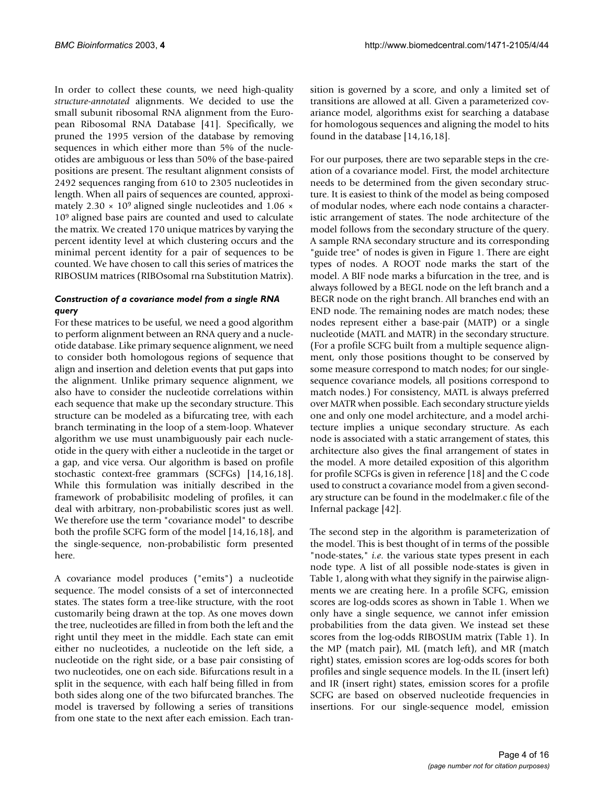In order to collect these counts, we need high-quality *structure-annotated* alignments. We decided to use the small subunit ribosomal RNA alignment from the European Ribosomal RNA Database [41]. Specifically, we pruned the 1995 version of the database by removing sequences in which either more than 5% of the nucleotides are ambiguous or less than 50% of the base-paired positions are present. The resultant alignment consists of 2492 sequences ranging from 610 to 2305 nucleotides in length. When all pairs of sequences are counted, approximately 2.30  $\times$  10<sup>9</sup> aligned single nucleotides and 1.06  $\times$ 109 aligned base pairs are counted and used to calculate the matrix. We created 170 unique matrices by varying the percent identity level at which clustering occurs and the minimal percent identity for a pair of sequences to be counted. We have chosen to call this series of matrices the RIBOSUM matrices (RIBOsomal rna Substitution Matrix).

## *Construction of a covariance model from a single RNA query*

For these matrices to be useful, we need a good algorithm to perform alignment between an RNA query and a nucleotide database. Like primary sequence alignment, we need to consider both homologous regions of sequence that align and insertion and deletion events that put gaps into the alignment. Unlike primary sequence alignment, we also have to consider the nucleotide correlations within each sequence that make up the secondary structure. This structure can be modeled as a bifurcating tree, with each branch terminating in the loop of a stem-loop. Whatever algorithm we use must unambiguously pair each nucleotide in the query with either a nucleotide in the target or a gap, and vice versa. Our algorithm is based on profile stochastic context-free grammars (SCFGs) [14,16,18]. While this formulation was initially described in the framework of probabilisitc modeling of profiles, it can deal with arbitrary, non-probabilistic scores just as well. We therefore use the term "covariance model" to describe both the profile SCFG form of the model [14,16,18], and the single-sequence, non-probabilistic form presented here.

A covariance model produces ("emits") a nucleotide sequence. The model consists of a set of interconnected states. The states form a tree-like structure, with the root customarily being drawn at the top. As one moves down the tree, nucleotides are filled in from both the left and the right until they meet in the middle. Each state can emit either no nucleotides, a nucleotide on the left side, a nucleotide on the right side, or a base pair consisting of two nucleotides, one on each side. Bifurcations result in a split in the sequence, with each half being filled in from both sides along one of the two bifurcated branches. The model is traversed by following a series of transitions from one state to the next after each emission. Each transition is governed by a score, and only a limited set of transitions are allowed at all. Given a parameterized covariance model, algorithms exist for searching a database for homologous sequences and aligning the model to hits found in the database [14,16,18].

For our purposes, there are two separable steps in the creation of a covariance model. First, the model architecture needs to be determined from the given secondary structure. It is easiest to think of the model as being composed of modular nodes, where each node contains a characteristic arrangement of states. The node architecture of the model follows from the secondary structure of the query. A sample RNA secondary structure and its corresponding "guide tree" of nodes is given in Figure [1](#page-4-0). There are eight types of nodes. A ROOT node marks the start of the model. A BIF node marks a bifurcation in the tree, and is always followed by a BEGL node on the left branch and a BEGR node on the right branch. All branches end with an END node. The remaining nodes are match nodes; these nodes represent either a base-pair (MATP) or a single nucleotide (MATL and MATR) in the secondary structure. (For a profile SCFG built from a multiple sequence alignment, only those positions thought to be conserved by some measure correspond to match nodes; for our singlesequence covariance models, all positions correspond to match nodes.) For consistency, MATL is always preferred over MATR when possible. Each secondary structure yields one and only one model architecture, and a model architecture implies a unique secondary structure. As each node is associated with a static arrangement of states, this architecture also gives the final arrangement of states in the model. A more detailed exposition of this algorithm for profile SCFGs is given in reference [18] and the C code used to construct a covariance model from a given secondary structure can be found in the modelmaker.c file of the Infernal package [42].

The second step in the algorithm is parameterization of the model. This is best thought of in terms of the possible "node-states," *i.e*. the various state types present in each node type. A list of all possible node-states is given in Table [1](#page-5-0), along with what they signify in the pairwise alignments we are creating here. In a profile SCFG, emission scores are log-odds scores as shown in Table [1](#page-5-0). When we only have a single sequence, we cannot infer emission probabilities from the data given. We instead set these scores from the log-odds RIBOSUM matrix (Table [1](#page-5-0)). In the MP (match pair), ML (match left), and MR (match right) states, emission scores are log-odds scores for both profiles and single sequence models. In the IL (insert left) and IR (insert right) states, emission scores for a profile SCFG are based on observed nucleotide frequencies in insertions. For our single-sequence model, emission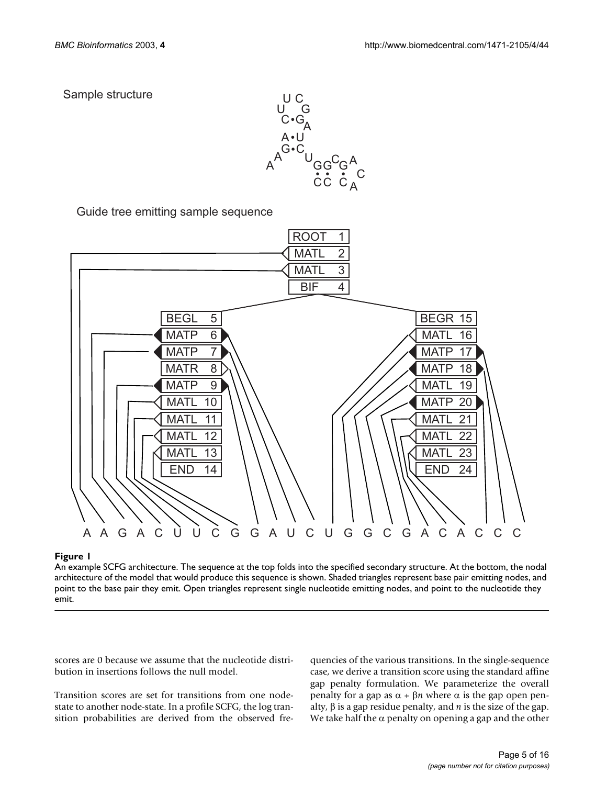<span id="page-4-0"></span>Sample structure



Guide tree emitting sample sequence



## **Figure 1**

An example SCFG architecture. The sequence at the top folds into the specified secondary structure. At the bottom, the nodal architecture of the model that would produce this sequence is shown. Shaded triangles represent base pair emitting nodes, and point to the base pair they emit. Open triangles represent single nucleotide emitting nodes, and point to the nucleotide they emit.

scores are 0 because we assume that the nucleotide distribution in insertions follows the null model.

Transition scores are set for transitions from one nodestate to another node-state. In a profile SCFG, the log transition probabilities are derived from the observed frequencies of the various transitions. In the single-sequence case, we derive a transition score using the standard affine gap penalty formulation. We parameterize the overall penalty for a gap as α + β*n* where α is the gap open penalty, β is a gap residue penalty, and *n* is the size of the gap. We take half the  $\alpha$  penalty on opening a gap and the other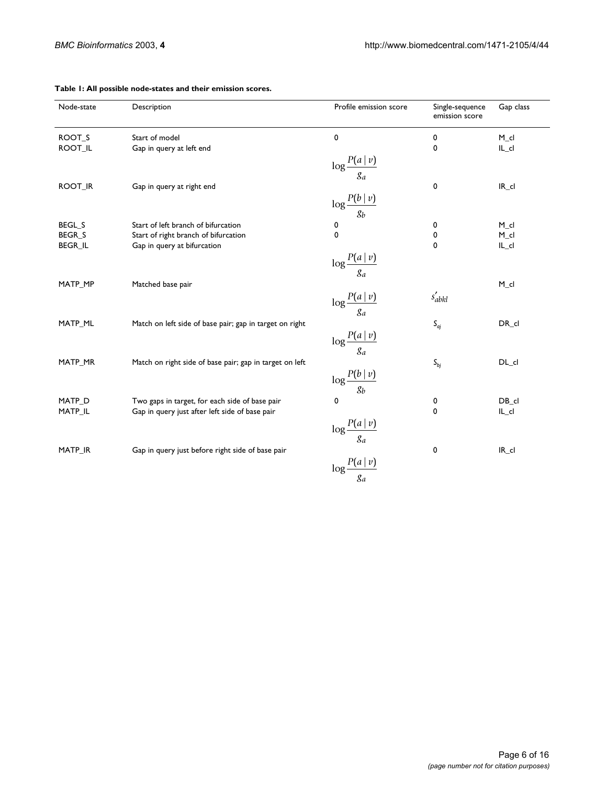| Node-state | Description                                             | Profile emission score                      | Single-sequence<br>emission score | Gap class |  |
|------------|---------------------------------------------------------|---------------------------------------------|-----------------------------------|-----------|--|
| ROOT_S     | Start of model                                          | $\mathbf 0$                                 | 0                                 | $M_{cl}$  |  |
| ROOT_IL    | Gap in query at left end                                |                                             | 0                                 | $IL$ _cl  |  |
| ROOT_IR    | Gap in query at right end                               | $\log \frac{P(a \mid v)}{g_a}$              | $\pmb{0}$                         | $IR_{cl}$ |  |
|            |                                                         | $\log \frac{P(b\mid v)}{p}$<br>$g_b$        |                                   |           |  |
| BEGL_S     | Start of left branch of bifurcation                     | 0                                           | 0                                 | M_cl      |  |
| BEGR_S     | Start of right branch of bifurcation                    | $\mathbf 0$                                 | 0                                 | $M_{cl}$  |  |
| BEGR_IL    | Gap in query at bifurcation                             |                                             | 0                                 | $IL$ _cl  |  |
|            |                                                         | $\log \frac{P(a \mid v)}{g_a}$              |                                   |           |  |
| MATP_MP    | Matched base pair                                       |                                             |                                   | $M_{cl}$  |  |
|            |                                                         | $\log \frac{P(a \mid v)}{g_a}$              | $s'_{abkl}$                       |           |  |
| MATP_ML    | Match on left side of base pair; gap in target on right |                                             | $S_{qj}$                          | DR_cl     |  |
|            |                                                         | $\log \frac{P(a \mid v)}{g_a}$              |                                   |           |  |
| MATP_MR    | Match on right side of base pair; gap in target on left |                                             | $S_{bj}$                          | $DL$ _cl  |  |
|            |                                                         | $\log \frac{P(b v)}{w}$<br>$g_b$            |                                   |           |  |
| MATP_D     | Two gaps in target, for each side of base pair          | $\mathbf 0$                                 | 0                                 | DB_cl     |  |
| MATP_IL    | Gap in query just after left side of base pair          |                                             | 0                                 | $IL$ _cl  |  |
|            |                                                         | $\log \frac{P(a v)}{v}$<br>$\mathfrak{g}_a$ |                                   |           |  |
| MATP_IR    | Gap in query just before right side of base pair        |                                             | 0                                 | $IR_{cl}$ |  |
|            |                                                         | $\log \frac{P(a \mid v)}{g_a}$              |                                   |           |  |

#### <span id="page-5-0"></span>**Table 1: All possible node-states and their emission scores.**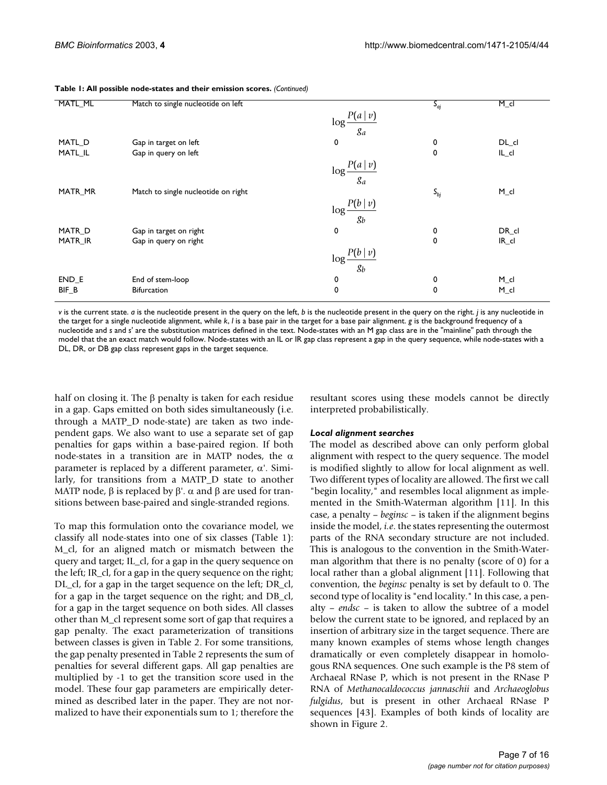| MATL_ML | Match to single nucleotide on left  |                              | $S_{qj}$    | $M_{cl}$ |
|---------|-------------------------------------|------------------------------|-------------|----------|
|         |                                     |                              |             |          |
|         |                                     | $\log \frac{P(a v)}{v}$      |             |          |
|         |                                     | g <sub>a</sub>               |             |          |
| MATL_D  | Gap in target on left               | 0                            | 0           | $DL$ _cl |
| MATL_IL | Gap in query on left                |                              | $\mathbf 0$ | $IL$ _cl |
|         |                                     |                              |             |          |
|         |                                     | $\log \frac{P(a v)}{v}$      |             |          |
|         |                                     | $g_a$                        |             |          |
| MATR_MR | Match to single nucleotide on right |                              | $S_{bj}$    | $M_{cl}$ |
|         |                                     |                              |             |          |
|         |                                     | P(b v)<br>$\log \frac{1}{2}$ |             |          |
|         |                                     | $g_b$                        |             |          |
| MATR_D  | Gap in target on right              | 0                            | 0           | $DR_cl$  |
| MATR_IR | Gap in query on right               |                              | 0           | IR_cl    |
|         |                                     |                              |             |          |
|         |                                     | P(b v)<br>log-               |             |          |
|         |                                     | $g_b$                        |             |          |
| END_E   | End of stem-loop                    | 0                            | 0           | $M_{cl}$ |
| BIF_B   | <b>Bifurcation</b>                  | 0                            | $\mathbf 0$ | M_cl     |
|         |                                     |                              |             |          |

#### **Table 1: All possible node-states and their emission scores.** *(Continued)*

*v* is the current state. *a* is the nucleotide present in the query on the left, *b* is the nucleotide present in the query on the right. *j* is any nucleotide in the target for a single nucleotide alignment, while *k*, *l* is a base pair in the target for a base pair alignment. *g* is the background frequency of a nucleotide and *s* and *s*' are the substitution matrices defined in the text. Node-states with an M gap class are in the "mainline" path through the model that the an exact match would follow. Node-states with an IL or IR gap class represent a gap in the query sequence, while node-states with a DL, DR, or DB gap class represent gaps in the target sequence.

half on closing it. The  $β$  penalty is taken for each residue in a gap. Gaps emitted on both sides simultaneously (i.e. through a MATP\_D node-state) are taken as two independent gaps. We also want to use a separate set of gap penalties for gaps within a base-paired region. If both node-states in a transition are in MATP nodes, the α parameter is replaced by a different parameter,  $\alpha'$ . Similarly, for transitions from a MATP\_D state to another MATP node,  $\beta$  is replaced by  $\beta'$ . α and  $\beta$  are used for transitions between base-paired and single-stranded regions.

To map this formulation onto the covariance model, we classify all node-states into one of six classes (Table [1\)](#page-5-0): M\_cl, for an aligned match or mismatch between the query and target; IL\_cl, for a gap in the query sequence on the left; IR\_cl, for a gap in the query sequence on the right; DL\_cl, for a gap in the target sequence on the left; DR\_cl, for a gap in the target sequence on the right; and DB\_cl, for a gap in the target sequence on both sides. All classes other than M\_cl represent some sort of gap that requires a gap penalty. The exact parameterization of transitions between classes is given in Table [2](#page-7-0). For some transitions, the gap penalty presented in Table [2](#page-7-0) represents the sum of penalties for several different gaps. All gap penalties are multiplied by -1 to get the transition score used in the model. These four gap parameters are empirically determined as described later in the paper. They are not normalized to have their exponentials sum to 1; therefore the resultant scores using these models cannot be directly interpreted probabilistically.

## *Local alignment searches*

The model as described above can only perform global alignment with respect to the query sequence. The model is modified slightly to allow for local alignment as well. Two different types of locality are allowed. The first we call "begin locality," and resembles local alignment as implemented in the Smith-Waterman algorithm [11]. In this case, a penalty – *beginsc* – is taken if the alignment begins inside the model, *i.e*. the states representing the outermost parts of the RNA secondary structure are not included. This is analogous to the convention in the Smith-Waterman algorithm that there is no penalty (score of 0) for a local rather than a global alignment [11]. Following that convention, the *beginsc* penalty is set by default to 0. The second type of locality is "end locality." In this case, a penalty – *endsc* – is taken to allow the subtree of a model below the current state to be ignored, and replaced by an insertion of arbitrary size in the target sequence. There are many known examples of stems whose length changes dramatically or even completely disappear in homologous RNA sequences. One such example is the P8 stem of Archaeal RNase P, which is not present in the RNase P RNA of *Methanocaldococcus jannaschii* and *Archaeoglobus fulgidus*, but is present in other Archaeal RNase P sequences [43]. Examples of both kinds of locality are shown in Figure 2.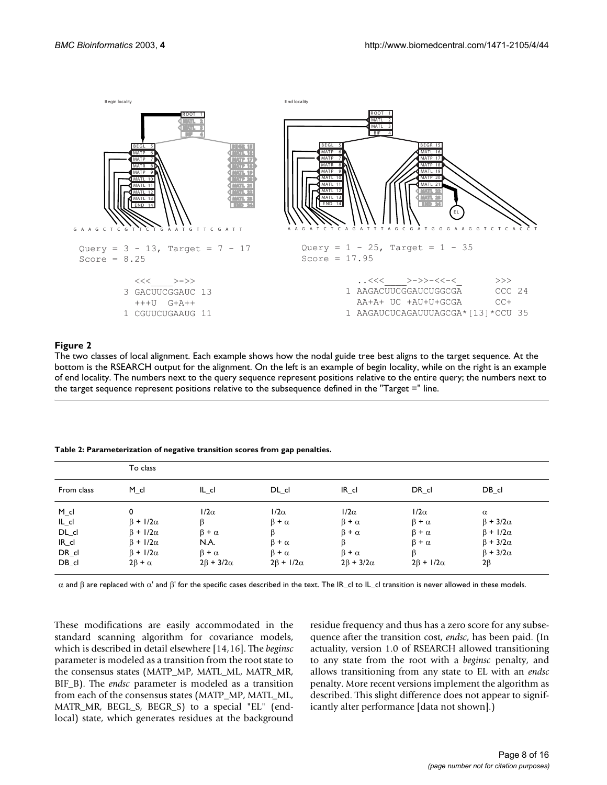

#### Figure 2

The two classes of local alignment. Each example shows how the nodal guide tree best aligns to the target sequence. At the bottom is the RSEARCH output for the alignment. On the left is an example of begin locality, while on the right is an example of end locality. The numbers next to the query sequence represent positions relative to the entire query; the numbers next to the target sequence represent positions relative to the subsequence defined in the "Target =" line.

#### <span id="page-7-0"></span>**Table 2: Parameterization of negative transition scores from gap penalties.**

|            | To class               |                      |                        |                      |                        |                        |  |  |  |  |  |
|------------|------------------------|----------------------|------------------------|----------------------|------------------------|------------------------|--|--|--|--|--|
| From class | M d                    | IL_cl                | DL cl                  | IR_cl                | DR_cl                  | DB cl                  |  |  |  |  |  |
| M_cl       | 0                      | $1/2\alpha$          | $1/2\alpha$            | $1/2\alpha$          | $1/2\alpha$            | $\alpha$               |  |  |  |  |  |
| $IL$ _cl   | $\beta$ + $1/2\alpha$  | β                    | $\beta + \alpha$       | $\beta + \alpha$     | $\beta + \alpha$       | $\beta$ + 3/2 $\alpha$ |  |  |  |  |  |
| DL_cl      | $\beta$ + $1/2\alpha$  | $\beta + \alpha$     | ß                      | $\beta + \alpha$     | $\beta + \alpha$       | $\beta$ + 1/2 $\alpha$ |  |  |  |  |  |
| $IR$ _cl   | $\beta$ + 1/2 $\alpha$ | N.A.                 | $\beta + \alpha$       | β                    | $\beta + \alpha$       | $\beta$ + 3/2 $\alpha$ |  |  |  |  |  |
| DR_cl      | $\beta$ + $1/2\alpha$  | $\beta + \alpha$     | $\beta + \alpha$       | $\beta + \alpha$     | β                      | $\beta$ + 3/2 $\alpha$ |  |  |  |  |  |
| DB_cl      | $2\beta + \alpha$      | $2\beta + 3/2\alpha$ | $2\beta$ + $1/2\alpha$ | $2\beta + 3/2\alpha$ | $2\beta$ + $1/2\alpha$ | 2β                     |  |  |  |  |  |

α and β are replaced with α' and β' for the specific cases described in the text. The IR\_cl to IL\_cl transition is never allowed in these models.

These modifications are easily accommodated in the standard scanning algorithm for covariance models, which is described in detail elsewhere [14,16]. The *beginsc* parameter is modeled as a transition from the root state to the consensus states (MATP\_MP, MATL\_ML, MATR\_MR, BIF\_B). The *endsc* parameter is modeled as a transition from each of the consensus states (MATP\_MP, MATL\_ML, MATR\_MR, BEGL\_S, BEGR\_S) to a special "EL" (endlocal) state, which generates residues at the background

residue frequency and thus has a zero score for any subsequence after the transition cost, *endsc*, has been paid. (In actuality, version 1.0 of RSEARCH allowed transitioning to any state from the root with a *beginsc* penalty, and allows transitioning from any state to EL with an *endsc* penalty. More recent versions implement the algorithm as described. This slight difference does not appear to significantly alter performance [data not shown].)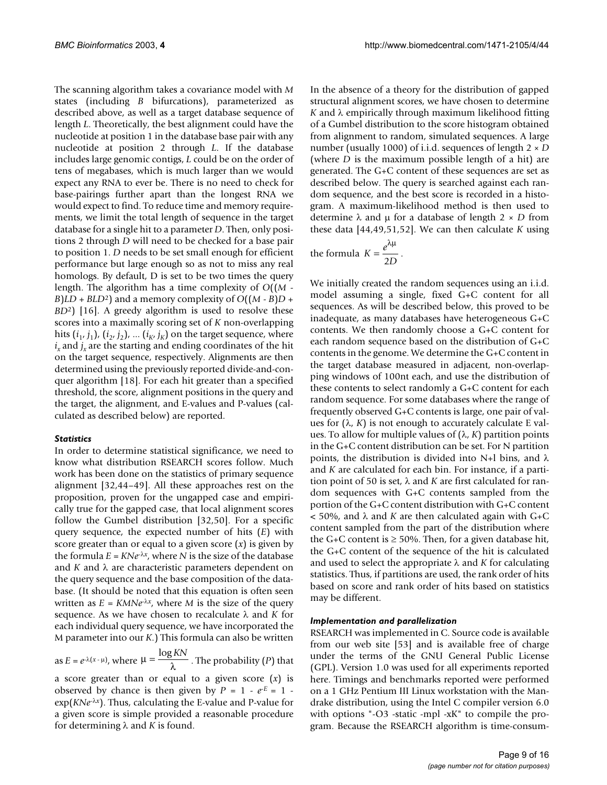The scanning algorithm takes a covariance model with *M* states (including *B* bifurcations), parameterized as described above, as well as a target database sequence of length *L*. Theoretically, the best alignment could have the nucleotide at position 1 in the database base pair with any nucleotide at position 2 through *L*. If the database includes large genomic contigs, *L* could be on the order of tens of megabases, which is much larger than we would expect any RNA to ever be. There is no need to check for base-pairings further apart than the longest RNA we would expect to find. To reduce time and memory requirements, we limit the total length of sequence in the target database for a single hit to a parameter *D*. Then, only positions 2 through *D* will need to be checked for a base pair to position 1. *D* needs to be set small enough for efficient performance but large enough so as not to miss any real homologs. By default, D is set to be two times the query length. The algorithm has a time complexity of *O*((*M* -  $B$ ) $LD + BLD<sup>2</sup>$ ) and a memory complexity of  $O((M - B)D +$ *BD*2) [16]. A greedy algorithm is used to resolve these scores into a maximally scoring set of *K* non-overlapping hits  $(i_1, j_1)$ ,  $(i_2, j_2)$ , ...  $(i_{K}, j_K)$  on the target sequence, where  $i_x$  and  $j_x$  are the starting and ending coordinates of the hit on the target sequence, respectively. Alignments are then determined using the previously reported divide-and-conquer algorithm [18]. For each hit greater than a specified threshold, the score, alignment positions in the query and the target, the alignment, and E-values and P-values (calculated as described below) are reported.

## *Statistics*

In order to determine statistical significance, we need to know what distribution RSEARCH scores follow. Much work has been done on the statistics of primary sequence alignment [32,44–49]. All these approaches rest on the proposition, proven for the ungapped case and empirically true for the gapped case, that local alignment scores follow the Gumbel distribution [32,50]. For a specific query sequence, the expected number of hits (*E*) with score greater than or equal to a given score (*x*) is given by the formula  $E = KNe^{-\lambda x}$ , where *N* is the size of the database and  $K$  and  $\lambda$  are characteristic parameters dependent on the query sequence and the base composition of the database. (It should be noted that this equation is often seen written as  $E = KMNe^{\lambda x}$ , where *M* is the size of the query sequence. As we have chosen to recalculate λ and *K* for each individual query sequence, we have incorporated the M parameter into our *K*.) This formula can also be written

as  $E = e^{-\lambda(x-\mu)}$ , where  $\mu = \frac{\log KN}{\lambda}$ . The probability (*P*) that

a score greater than or equal to a given score (*x*) is observed by chance is then given by  $P = 1 - e^{-E} = 1$ .  $exp(KNe<sup>λx</sup>)$ . Thus, calculating the E-value and P-value for a given score is simple provided a reasonable procedure for determining  $\lambda$  and *K* is found.

In the absence of a theory for the distribution of gapped structural alignment scores, we have chosen to determine *K* and λ empirically through maximum likelihood fitting of a Gumbel distribution to the score histogram obtained from alignment to random, simulated sequences. A large number (usually 1000) of i.i.d. sequences of length 2 × *D* (where *D* is the maximum possible length of a hit) are generated. The G+C content of these sequences are set as described below. The query is searched against each random sequence, and the best score is recorded in a histogram. A maximum-likelihood method is then used to determine λ and µ for a database of length 2 × *D* from these data [44,49,51,52]. We can then calculate *K* using

the formula 
$$
K = \frac{e^{\lambda \mu}}{2D}
$$
.

We initially created the random sequences using an i.i.d. model assuming a single, fixed G+C content for all sequences. As will be described below, this proved to be inadequate, as many databases have heterogeneous G+C contents. We then randomly choose a G+C content for each random sequence based on the distribution of G+C contents in the genome. We determine the G+C content in the target database measured in adjacent, non-overlapping windows of 100nt each, and use the distribution of these contents to select randomly a G+C content for each random sequence. For some databases where the range of frequently observed G+C contents is large, one pair of values for  $(\lambda, K)$  is not enough to accurately calculate E values. To allow for multiple values of (λ, *K*) partition points in the G+C content distribution can be set. For N partition points, the distribution is divided into N+l bins, and  $\lambda$ and *K* are calculated for each bin. For instance, if a partition point of 50 is set, λ and *K* are first calculated for random sequences with G+C contents sampled from the portion of the G+C content distribution with G+C content  $<$  50%, and  $\lambda$  and *K* are then calculated again with G+C content sampled from the part of the distribution where the G+C content is  $\geq 50\%$ . Then, for a given database hit, the G+C content of the sequence of the hit is calculated and used to select the appropriate  $\lambda$  and *K* for calculating statistics. Thus, if partitions are used, the rank order of hits based on score and rank order of hits based on statistics may be different.

#### *Implementation and parallelization*

RSEARCH was implemented in C. Source code is available from our web site [53] and is available free of charge under the terms of the GNU General Public License (GPL). Version 1.0 was used for all experiments reported here. Timings and benchmarks reported were performed on a 1 GHz Pentium III Linux workstation with the Mandrake distribution, using the Intel C compiler version 6.0 with options "-O3 -static -mpl -xK" to compile the program. Because the RSEARCH algorithm is time-consum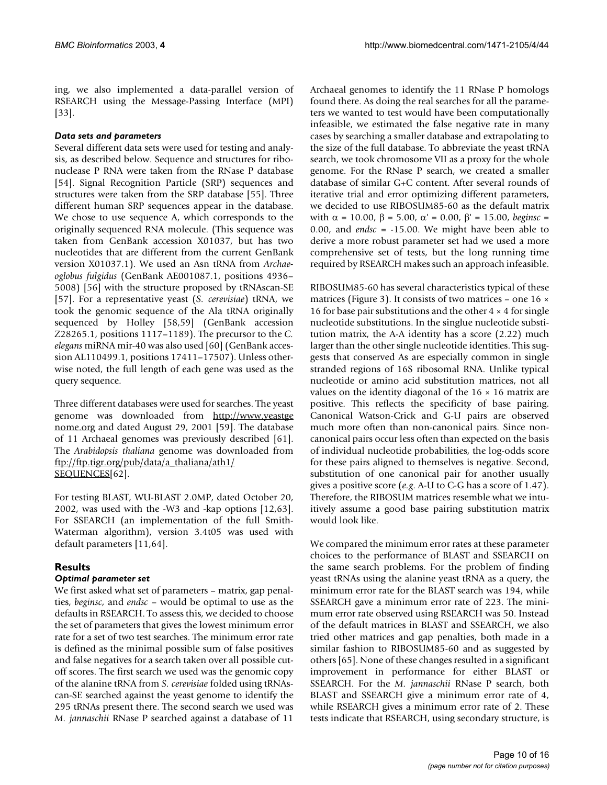ing, we also implemented a data-parallel version of RSEARCH using the Message-Passing Interface (MPI) [33].

#### *Data sets and parameters*

Several different data sets were used for testing and analysis, as described below. Sequence and structures for ribonuclease P RNA were taken from the RNase P database [54]. Signal Recognition Particle (SRP) sequences and structures were taken from the SRP database [55]. Three different human SRP sequences appear in the database. We chose to use sequence A, which corresponds to the originally sequenced RNA molecule. (This sequence was taken from GenBank accession X01037, but has two nucleotides that are different from the current GenBank version X01037.1). We used an Asn tRNA from *Archaeoglobus fulgidus* (GenBank AE001087.1, positions 4936– 5008) [56] with the structure proposed by tRNAscan-SE [57]. For a representative yeast (*S. cerevisiae*) tRNA, we took the genomic sequence of the Ala tRNA originally sequenced by Holley [58,59] (GenBank accession Z28265.1, positions 1117–1189). The precursor to the *C. elegans* miRNA mir-40 was also used [60] (GenBank accession AL110499.1, positions 17411–17507). Unless otherwise noted, the full length of each gene was used as the query sequence.

Three different databases were used for searches. The yeast genome was downloaded from [http://www.yeastge](http://www.yeastgenome.org) [nome.org](http://www.yeastgenome.org) and dated August 29, 2001 [59]. The database of 11 Archaeal genomes was previously described [61]. The *Arabidopsis thaliana* genome was downloaded from [ftp://ftp.tigr.org/pub/data/a\\_thaliana/ath1/](ftp://ftp.tigr.org/pub/data/a_thaliana/ath1/SEQUENCES) SEQUENCES<sup>[62]</sup>.

For testing BLAST, WU-BLAST 2.0MP, dated October 20, 2002, was used with the -W3 and -kap options [12,63]. For SSEARCH (an implementation of the full Smith-Waterman algorithm), version 3.4t05 was used with default parameters [11,64].

## **Results**

## *Optimal parameter set*

We first asked what set of parameters – matrix, gap penalties, *beginsc*, and *endsc* – would be optimal to use as the defaults in RSEARCH. To assess this, we decided to choose the set of parameters that gives the lowest minimum error rate for a set of two test searches. The minimum error rate is defined as the minimal possible sum of false positives and false negatives for a search taken over all possible cutoff scores. The first search we used was the genomic copy of the alanine tRNA from *S. cerevisiae* folded using tRNAscan-SE searched against the yeast genome to identify the 295 tRNAs present there. The second search we used was *M. jannaschii* RNase P searched against a database of 11

Archaeal genomes to identify the 11 RNase P homologs found there. As doing the real searches for all the parameters we wanted to test would have been computationally infeasible, we estimated the false negative rate in many cases by searching a smaller database and extrapolating to the size of the full database. To abbreviate the yeast tRNA search, we took chromosome VII as a proxy for the whole genome. For the RNase P search, we created a smaller database of similar G+C content. After several rounds of iterative trial and error optimizing different parameters, we decided to use RIBOSUM85-60 as the default matrix with α = 10.00, β = 5.00, α' = 0.00, β' = 15.00, *beginsc* = 0.00, and *endsc* = -15.00. We might have been able to derive a more robust parameter set had we used a more comprehensive set of tests, but the long running time required by RSEARCH makes such an approach infeasible.

RIBOSUM85-60 has several characteristics typical of these matrices (Figure 3). It consists of two matrices – one 16  $\times$ 16 for base pair substitutions and the other  $4 \times 4$  for single nucleotide substitutions. In the singlue nucleotide substitution matrix, the A-A identity has a score (2.22) much larger than the other single nucleotide identities. This suggests that conserved As are especially common in single stranded regions of 16S ribosomal RNA. Unlike typical nucleotide or amino acid substitution matrices, not all values on the identity diagonal of the  $16 \times 16$  matrix are positive. This reflects the specificity of base pairing. Canonical Watson-Crick and G-U pairs are observed much more often than non-canonical pairs. Since noncanonical pairs occur less often than expected on the basis of individual nucleotide probabilities, the log-odds score for these pairs aligned to themselves is negative. Second, substitution of one canonical pair for another usually gives a positive score (*e.g*. A-U to C-G has a score of 1.47). Therefore, the RIBOSUM matrices resemble what we intuitively assume a good base pairing substitution matrix would look like.

We compared the minimum error rates at these parameter choices to the performance of BLAST and SSEARCH on the same search problems. For the problem of finding yeast tRNAs using the alanine yeast tRNA as a query, the minimum error rate for the BLAST search was 194, while SSEARCH gave a minimum error rate of 223. The minimum error rate observed using RSEARCH was 50. Instead of the default matrices in BLAST and SSEARCH, we also tried other matrices and gap penalties, both made in a similar fashion to RIBOSUM85-60 and as suggested by others [65]. None of these changes resulted in a significant improvement in performance for either BLAST or SSEARCH. For the *M. jannaschii* RNase P search, both BLAST and SSEARCH give a minimum error rate of 4, while RSEARCH gives a minimum error rate of 2. These tests indicate that RSEARCH, using secondary structure, is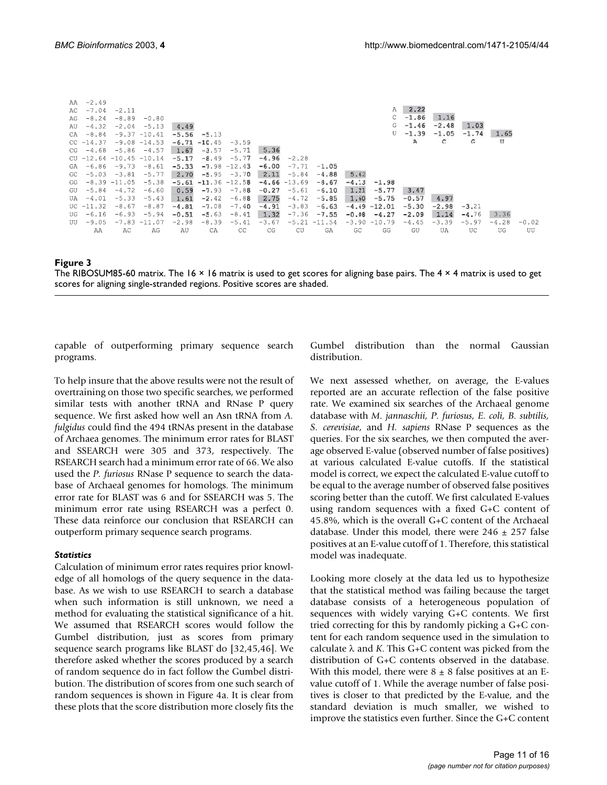| $-2.49$ |                                                |                                                                                                                     |                                                                                                                                                                             |                                                                |                                                  |                                                                                                                                                                           |                                              |         |                                                                                                                                 |         |                                                                                        |                                      |         |         |         |
|---------|------------------------------------------------|---------------------------------------------------------------------------------------------------------------------|-----------------------------------------------------------------------------------------------------------------------------------------------------------------------------|----------------------------------------------------------------|--------------------------------------------------|---------------------------------------------------------------------------------------------------------------------------------------------------------------------------|----------------------------------------------|---------|---------------------------------------------------------------------------------------------------------------------------------|---------|----------------------------------------------------------------------------------------|--------------------------------------|---------|---------|---------|
|         |                                                |                                                                                                                     |                                                                                                                                                                             |                                                                |                                                  |                                                                                                                                                                           |                                              |         |                                                                                                                                 |         | 2.22                                                                                   |                                      |         |         |         |
|         |                                                |                                                                                                                     |                                                                                                                                                                             |                                                                |                                                  |                                                                                                                                                                           |                                              |         |                                                                                                                                 |         |                                                                                        | 1.16                                 |         |         |         |
|         |                                                | $-5.13$                                                                                                             | 4.49                                                                                                                                                                        |                                                                |                                                  |                                                                                                                                                                           |                                              |         |                                                                                                                                 |         | $-1.46$                                                                                | $-2.48$                              | 1.03    |         |         |
|         |                                                |                                                                                                                     |                                                                                                                                                                             |                                                                |                                                  |                                                                                                                                                                           |                                              |         |                                                                                                                                 |         | $-1.39$                                                                                | $-1.05$                              | $-1.74$ | 1.65    |         |
|         |                                                |                                                                                                                     |                                                                                                                                                                             |                                                                |                                                  |                                                                                                                                                                           |                                              |         |                                                                                                                                 |         | A                                                                                      | $\mathbf{C}$                         | G       | U       |         |
|         |                                                |                                                                                                                     |                                                                                                                                                                             |                                                                | $-5.71$                                          | 5.36                                                                                                                                                                      |                                              |         |                                                                                                                                 |         |                                                                                        |                                      |         |         |         |
|         |                                                |                                                                                                                     |                                                                                                                                                                             |                                                                |                                                  | $-4.96$                                                                                                                                                                   | $-2.28$                                      |         |                                                                                                                                 |         |                                                                                        |                                      |         |         |         |
|         |                                                |                                                                                                                     |                                                                                                                                                                             |                                                                |                                                  | $-6.00$                                                                                                                                                                   |                                              | $-1.05$ |                                                                                                                                 |         |                                                                                        |                                      |         |         |         |
|         |                                                |                                                                                                                     |                                                                                                                                                                             |                                                                |                                                  |                                                                                                                                                                           |                                              | $-4.88$ | 5.62                                                                                                                            |         |                                                                                        |                                      |         |         |         |
|         |                                                |                                                                                                                     |                                                                                                                                                                             |                                                                |                                                  |                                                                                                                                                                           |                                              | $-8.67$ |                                                                                                                                 |         |                                                                                        |                                      |         |         |         |
|         |                                                | $-6.60$                                                                                                             |                                                                                                                                                                             |                                                                |                                                  |                                                                                                                                                                           |                                              | $-6.10$ | 1.21                                                                                                                            | $-5.77$ | 3.47                                                                                   |                                      |         |         |         |
|         |                                                | $-5.43$                                                                                                             |                                                                                                                                                                             |                                                                | $-6.88$                                          | 2.75                                                                                                                                                                      |                                              | $-5.85$ |                                                                                                                                 |         | $-0.57$                                                                                | 4.97                                 |         |         |         |
|         | $-8.67$                                        | $-8.87$                                                                                                             |                                                                                                                                                                             |                                                                | $-7.40$                                          |                                                                                                                                                                           |                                              | $-6.63$ |                                                                                                                                 |         | $-5.30$                                                                                | $-2.98$                              |         |         |         |
|         |                                                | $-5.94$                                                                                                             |                                                                                                                                                                             |                                                                |                                                  |                                                                                                                                                                           |                                              |         |                                                                                                                                 |         | $-2.09$                                                                                | 1.14                                 | $-4.76$ | 3.36    |         |
| $-9.05$ |                                                |                                                                                                                     |                                                                                                                                                                             |                                                                | $-5.41$                                          | $-3.67$                                                                                                                                                                   |                                              |         |                                                                                                                                 |         | $-4.45$                                                                                | $-3.39$                              | $-5.97$ | $-4.28$ | $-0.02$ |
| AA      | AC.                                            | AG                                                                                                                  | AU.                                                                                                                                                                         | CA                                                             | CC.                                              | CG.                                                                                                                                                                       | CU                                           | GA      | GC                                                                                                                              | GG      | GU                                                                                     | UA                                   | UC      | UG      | UU      |
|         | AA.<br>AC<br>AG<br>GC.<br>GG<br>UA<br>UG<br>UU | $-7.04 - 2.11$<br>$-8.24$<br>$-4.32$<br>$CA -8.84$<br>$CC -14.37$<br>$GU - 5.84$<br>$-4.01$<br>UC $-11.32$<br>-6.16 | $-8.89 - 0.80$<br>$-2.04$<br>CU $-12.64$ $-10.45$ $-10.14$<br>$GA -6.86 -9.73 -8.61$<br>$-5.03 -3.81$<br>$-8.39 - 11.05$<br>$-4.72$<br>$-5.33$<br>$-6.93$<br>$-7.83 -11.07$ | $-9.08 -14.53$<br>$CG -4.68 -5.86 -4.57$<br>$-5.77$<br>$-5.38$ | $-9.37 -10.41 -5.56 -5.13$<br>$-4.81$<br>$-2.98$ | $-6.71 - 10.45 - 3.59$<br>$1.67 - 3.57$<br>$-5.17 - 8.49 - 5.77$<br>$-5.33 -7.98 -12.43$<br>$0.59 - 7.93 - 7.88$<br>$1.61 - 2.42$<br>$-7.08$<br>$-0.51 - 5.63$<br>$-8.39$ | $2.70 - 5.95 - 3.70$<br>2.11<br>$-8.41$ 1.32 | $-5.84$ | $-7.71$<br>$-5.61 -11.36 -12.58 -4.66 -13.69$<br>$-0.27 - 5.61$<br>$-4.72$<br>$-4.91 -3.83$<br>$-7.36 - 7.55$<br>$-5.21 -11.54$ |         | $-4.13 -1.98$<br>$1.60 - 5.75$<br>$-4.49 - 12.01$<br>$-0.08 - 4.27$<br>$-3.90 - 10.79$ | A<br>$C - 1.86$<br>G<br>$\mathbf{U}$ |         | $-3.21$ |         |

**Figure 3** 

The RIBOSUM85-60 matrix. The 16  $\times$  16 matrix is used to get scores for aligning base pairs. The 4  $\times$  4 matrix is used to get scores for aligning single-stranded regions. Positive scores are shaded.

capable of outperforming primary sequence search programs.

To help insure that the above results were not the result of overtraining on those two specific searches, we performed similar tests with another tRNA and RNase P query sequence. We first asked how well an Asn tRNA from *A. fulgidus* could find the 494 tRNAs present in the database of Archaea genomes. The minimum error rates for BLAST and SSEARCH were 305 and 373, respectively. The RSEARCH search had a minimum error rate of 66. We also used the *P. furiosus* RNase P sequence to search the database of Archaeal genomes for homologs. The minimum error rate for BLAST was 6 and for SSEARCH was 5. The minimum error rate using RSEARCH was a perfect 0. These data reinforce our conclusion that RSEARCH can outperform primary sequence search programs.

## *Statistics*

Calculation of minimum error rates requires prior knowledge of all homologs of the query sequence in the database. As we wish to use RSEARCH to search a database when such information is still unknown, we need a method for evaluating the statistical significance of a hit. We assumed that RSEARCH scores would follow the Gumbel distribution, just as scores from primary sequence search programs like BLAST do [32,45,46]. We therefore asked whether the scores produced by a search of random sequence do in fact follow the Gumbel distribution. The distribution of scores from one such search of random sequences is shown in Figure [4a](#page-11-0). It is clear from these plots that the score distribution more closely fits the Gumbel distribution than the normal Gaussian distribution.

We next assessed whether, on average, the E-values reported are an accurate reflection of the false positive rate. We examined six searches of the Archaeal genome database with *M. jannaschii, P. furiosus, E. coli, B. subtilis, S. cerevisiae*, and *H. sapiens* RNase P sequences as the queries. For the six searches, we then computed the average observed E-value (observed number of false positives) at various calculated E-value cutoffs. If the statistical model is correct, we expect the calculated E-value cutoff to be equal to the average number of observed false positives scoring better than the cutoff. We first calculated E-values using random sequences with a fixed G+C content of 45.8%, which is the overall G+C content of the Archaeal database. Under this model, there were  $246 \pm 257$  false positives at an E-value cutoff of 1. Therefore, this statistical model was inadequate.

Looking more closely at the data led us to hypothesize that the statistical method was failing because the target database consists of a heterogeneous population of sequences with widely varying G+C contents. We first tried correcting for this by randomly picking a G+C content for each random sequence used in the simulation to calculate  $\lambda$  and *K*. This G+C content was picked from the distribution of G+C contents observed in the database. With this model, there were  $8 \pm 8$  false positives at an Evalue cutoff of 1. While the average number of false positives is closer to that predicted by the E-value, and the standard deviation is much smaller, we wished to improve the statistics even further. Since the G+C content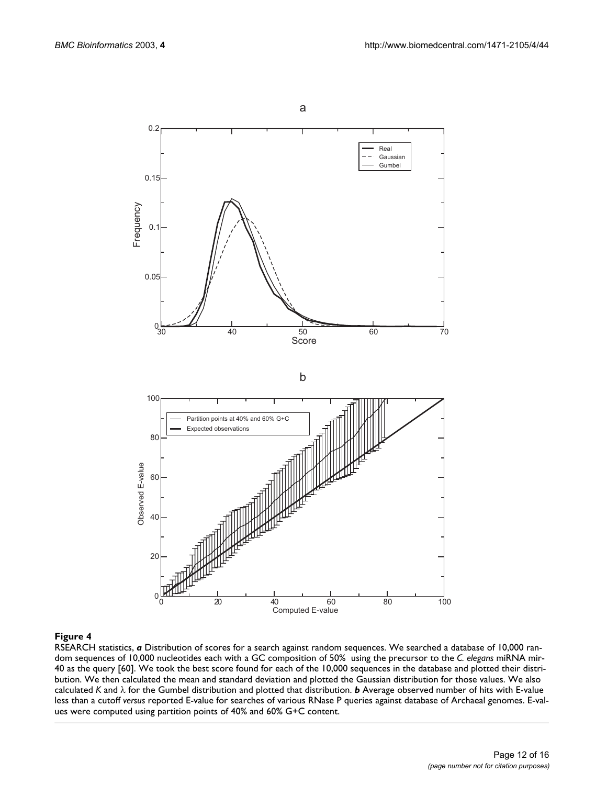<span id="page-11-0"></span>

#### Figure 4

RSEARCH statistics, *a* Distribution of scores for a search against random sequences. We searched a database of 10,000 random sequences of 10,000 nucleotides each with a GC composition of 50% using the precursor to the *C. elegans* miRNA mir-40 as the query [60]. We took the best score found for each of the 10,000 sequences in the database and plotted their distribution. We then calculated the mean and standard deviation and plotted the Gaussian distribution for those values. We also calculated *K* and λ for the Gumbel distribution and plotted that distribution. *b* Average observed number of hits with E-value less than a cutoff *versus* reported E-value for searches of various RNase P queries against database of Archaeal genomes. E-values were computed using partition points of 40% and 60% G+C content.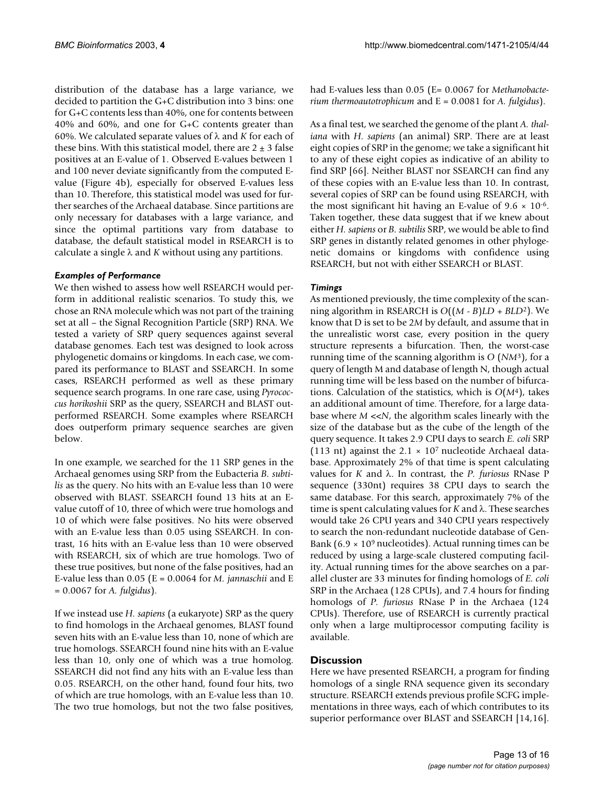distribution of the database has a large variance, we decided to partition the G+C distribution into 3 bins: one for G+C contents less than 40%, one for contents between 40% and 60%, and one for G+C contents greater than 60%. We calculated separate values of λ and *K* for each of these bins. With this statistical model, there are  $2 \pm 3$  false positives at an E-value of 1. Observed E-values between 1 and 100 never deviate significantly from the computed Evalue (Figure [4b](#page-11-0)), especially for observed E-values less than 10. Therefore, this statistical model was used for further searches of the Archaeal database. Since partitions are only necessary for databases with a large variance, and since the optimal partitions vary from database to database, the default statistical model in RSEARCH is to calculate a single λ and *K* without using any partitions.

# *Examples of Performance*

We then wished to assess how well RSEARCH would perform in additional realistic scenarios. To study this, we chose an RNA molecule which was not part of the training set at all – the Signal Recognition Particle (SRP) RNA. We tested a variety of SRP query sequences against several database genomes. Each test was designed to look across phylogenetic domains or kingdoms. In each case, we compared its performance to BLAST and SSEARCH. In some cases, RSEARCH performed as well as these primary sequence search programs. In one rare case, using *Pyrococcus horikoshii* SRP as the query, SSEARCH and BLAST outperformed RSEARCH. Some examples where RSEARCH does outperform primary sequence searches are given below.

In one example, we searched for the 11 SRP genes in the Archaeal genomes using SRP from the Eubacteria *B. subtilis* as the query. No hits with an E-value less than 10 were observed with BLAST. SSEARCH found 13 hits at an Evalue cutoff of 10, three of which were true homologs and 10 of which were false positives. No hits were observed with an E-value less than 0.05 using SSEARCH. In contrast, 16 hits with an E-value less than 10 were observed with RSEARCH, six of which are true homologs. Two of these true positives, but none of the false positives, had an E-value less than 0.05 (E = 0.0064 for *M. jannaschii* and E = 0.0067 for *A. fulgidus*).

If we instead use *H. sapiens* (a eukaryote) SRP as the query to find homologs in the Archaeal genomes, BLAST found seven hits with an E-value less than 10, none of which are true homologs. SSEARCH found nine hits with an E-value less than 10, only one of which was a true homolog. SSEARCH did not find any hits with an E-value less than 0.05. RSEARCH, on the other hand, found four hits, two of which are true homologs, with an E-value less than 10. The two true homologs, but not the two false positives,

had E-values less than 0.05 (E= 0.0067 for *Methanobacterium thermoautotrophicum* and E = 0.0081 for *A. fulgidus*).

As a final test, we searched the genome of the plant *A. thaliana* with *H. sapiens* (an animal) SRP. There are at least eight copies of SRP in the genome; we take a significant hit to any of these eight copies as indicative of an ability to find SRP [66]. Neither BLAST nor SSEARCH can find any of these copies with an E-value less than 10. In contrast, several copies of SRP can be found using RSEARCH, with the most significant hit having an E-value of  $9.6 \times 10^{-6}$ . Taken together, these data suggest that if we knew about either *H. sapiens* or *B. subtilis* SRP, we would be able to find SRP genes in distantly related genomes in other phylogenetic domains or kingdoms with confidence using RSEARCH, but not with either SSEARCH or BLAST.

# *Timings*

As mentioned previously, the time complexity of the scanning algorithm in RSEARCH is *O*((*M* - *B*)*LD* + *BLD*2). We know that D is set to be 2*M* by default, and assume that in the unrealistic worst case, every position in the query structure represents a bifurcation. Then, the worst-case running time of the scanning algorithm is *O* (*NM*3), for a query of length M and database of length N, though actual running time will be less based on the number of bifurcations. Calculation of the statistics, which is *O*(*M*4), takes an additional amount of time. Therefore, for a large database where *M* <<*N*, the algorithm scales linearly with the size of the database but as the cube of the length of the query sequence. It takes 2.9 CPU days to search *E. coli* SRP (113 nt) against the 2.1  $\times$  10<sup>7</sup> nucleotide Archaeal database. Approximately 2% of that time is spent calculating values for *K* and λ. In contrast, the *P. furiosus* RNase P sequence (330nt) requires 38 CPU days to search the same database. For this search, approximately 7% of the time is spent calculating values for *K* and λ. These searches would take 26 CPU years and 340 CPU years respectively to search the non-redundant nucleotide database of Gen-Bank (6.9  $\times$  10<sup>9</sup> nucleotides). Actual running times can be reduced by using a large-scale clustered computing facility. Actual running times for the above searches on a parallel cluster are 33 minutes for finding homologs of *E. coli* SRP in the Archaea (128 CPUs), and 7.4 hours for finding homologs of *P. furiosus* RNase P in the Archaea (124 CPUs). Therefore, use of RSEARCH is currently practical only when a large multiprocessor computing facility is available.

# **Discussion**

Here we have presented RSEARCH, a program for finding homologs of a single RNA sequence given its secondary structure. RSEARCH extends previous profile SCFG implementations in three ways, each of which contributes to its superior performance over BLAST and SSEARCH [14,16].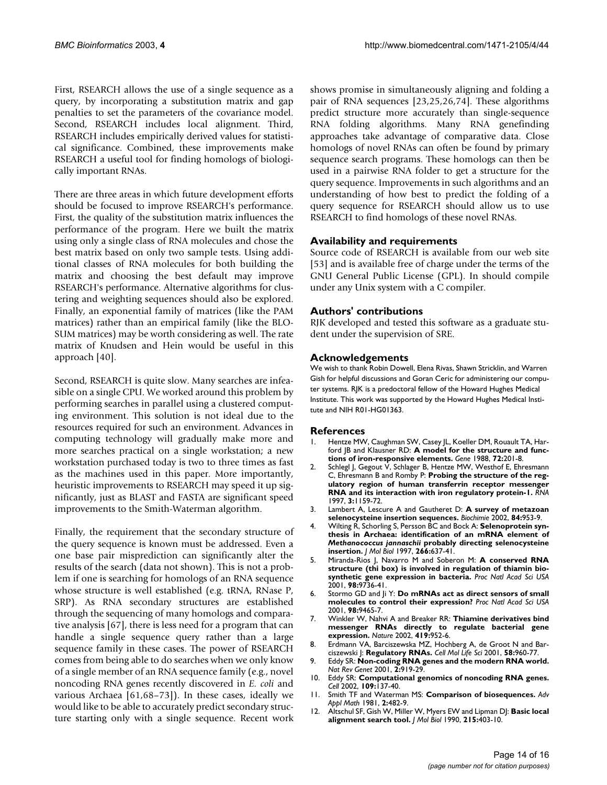First, RSEARCH allows the use of a single sequence as a query, by incorporating a substitution matrix and gap penalties to set the parameters of the covariance model. Second, RSEARCH includes local alignment. Third, RSEARCH includes empirically derived values for statistical significance. Combined, these improvements make RSEARCH a useful tool for finding homologs of biologically important RNAs.

There are three areas in which future development efforts should be focused to improve RSEARCH's performance. First, the quality of the substitution matrix influences the performance of the program. Here we built the matrix using only a single class of RNA molecules and chose the best matrix based on only two sample tests. Using additional classes of RNA molecules for both building the matrix and choosing the best default may improve RSEARCH's performance. Alternative algorithms for clustering and weighting sequences should also be explored. Finally, an exponential family of matrices (like the PAM matrices) rather than an empirical family (like the BLO-SUM matrices) may be worth considering as well. The rate matrix of Knudsen and Hein would be useful in this approach [40].

Second, RSEARCH is quite slow. Many searches are infeasible on a single CPU. We worked around this problem by performing searches in parallel using a clustered computing environment. This solution is not ideal due to the resources required for such an environment. Advances in computing technology will gradually make more and more searches practical on a single workstation; a new workstation purchased today is two to three times as fast as the machines used in this paper. More importantly, heuristic improvements to RSEARCH may speed it up significantly, just as BLAST and FASTA are significant speed improvements to the Smith-Waterman algorithm.

Finally, the requirement that the secondary structure of the query sequence is known must be addressed. Even a one base pair misprediction can significantly alter the results of the search (data not shown). This is not a problem if one is searching for homologs of an RNA sequence whose structure is well established (e.g. tRNA, RNase P, SRP). As RNA secondary structures are established through the sequencing of many homologs and comparative analysis [67], there is less need for a program that can handle a single sequence query rather than a large sequence family in these cases. The power of RSEARCH comes from being able to do searches when we only know of a single member of an RNA sequence family (e.g., novel noncoding RNA genes recently discovered in *E. coli* and various Archaea [61,68–73]). In these cases, ideally we would like to be able to accurately predict secondary structure starting only with a single sequence. Recent work shows promise in simultaneously aligning and folding a pair of RNA sequences [23,25,26,74]. These algorithms predict structure more accurately than single-sequence RNA folding algorithms. Many RNA genefinding approaches take advantage of comparative data. Close homologs of novel RNAs can often be found by primary sequence search programs. These homologs can then be used in a pairwise RNA folder to get a structure for the query sequence. Improvements in such algorithms and an understanding of how best to predict the folding of a query sequence for RSEARCH should allow us to use RSEARCH to find homologs of these novel RNAs.

## **Availability and requirements**

Source code of RSEARCH is available from our web site [53] and is available free of charge under the terms of the GNU General Public License (GPL). In should compile under any Unix system with a C compiler.

# **Authors' contributions**

RJK developed and tested this software as a graduate student under the supervision of SRE.

## **Acknowledgements**

We wish to thank Robin Dowell, Elena Rivas, Shawn Stricklin, and Warren Gish for helpful discussions and Goran Ceric for administering our computer systems. RJK is a predoctoral fellow of the Howard Hughes Medical Institute. This work was supported by the Howard Hughes Medical Institute and NIH R01-HG01363.

## **References**

- 1. Hentze MW, Caughman SW, Casey JL, Koeller DM, Rouault TA, Har-ford |B and Klausner RD: [A model for the structure and func](http://www.ncbi.nlm.nih.gov/entrez/query.fcgi?cmd=Retrieve&db=PubMed&dopt=Abstract&list_uids=10.1016/0378-1119(88)90145-X)**[tions of iron-responsive elements](http://www.ncbi.nlm.nih.gov/entrez/query.fcgi?cmd=Retrieve&db=PubMed&dopt=Abstract&list_uids=10.1016/0378-1119(88)90145-X)[.](http://www.ncbi.nlm.nih.gov/entrez/query.fcgi?cmd=Retrieve&db=PubMed&dopt=Abstract&list_uids=3266604)** *Gene* 1988, **72:**201-8.
- 2. Schlegl J, Gegout V, Schlager B, Hentze MW, Westhof E, Ehresmann C, Ehresmann B and Romby P: **[Probing the structure of the reg](http://www.ncbi.nlm.nih.gov/entrez/query.fcgi?cmd=Retrieve&db=PubMed&dopt=Abstract&list_uids=9326491)[ulatory region of human transferrin receptor messenger](http://www.ncbi.nlm.nih.gov/entrez/query.fcgi?cmd=Retrieve&db=PubMed&dopt=Abstract&list_uids=9326491) [RNA and its interaction with iron regulatory protein-1.](http://www.ncbi.nlm.nih.gov/entrez/query.fcgi?cmd=Retrieve&db=PubMed&dopt=Abstract&list_uids=9326491)** *RNA* 1997, **3:**1159-72.
- 3. Lambert A, Lescure A and Gautheret D: **[A survey of metazoan](http://www.ncbi.nlm.nih.gov/entrez/query.fcgi?cmd=Retrieve&db=PubMed&dopt=Abstract&list_uids=10.1016/S0300-9084(02)01441-4) [selenocysteine insertion sequences](http://www.ncbi.nlm.nih.gov/entrez/query.fcgi?cmd=Retrieve&db=PubMed&dopt=Abstract&list_uids=10.1016/S0300-9084(02)01441-4)[.](http://www.ncbi.nlm.nih.gov/entrez/query.fcgi?cmd=Retrieve&db=PubMed&dopt=Abstract&list_uids=12458087)** *Biochimie* 2002, **84:**953-9.
- 4. Wilting R, Schorling S, Persson BC and Bock A: **Selenoprotein synthesis in Archaea: identification of an mRNA element of** *Methanococcus jannaschii* **[probably directing selenocysteine](http://www.ncbi.nlm.nih.gov/entrez/query.fcgi?cmd=Retrieve&db=PubMed&dopt=Abstract&list_uids=10.1006/jmbi.1996.0812) [insertion](http://www.ncbi.nlm.nih.gov/entrez/query.fcgi?cmd=Retrieve&db=PubMed&dopt=Abstract&list_uids=10.1006/jmbi.1996.0812)[.](http://www.ncbi.nlm.nih.gov/entrez/query.fcgi?cmd=Retrieve&db=PubMed&dopt=Abstract&list_uids=9102456)** *J Mol Biol* 1997, **266:**637-41.
- 5. Miranda-Rios J, Navarro M and Soberon M: **[A conserved RNA](http://www.ncbi.nlm.nih.gov/entrez/query.fcgi?cmd=Retrieve&db=PubMed&dopt=Abstract&list_uids=55522) [structure \(thi box\) is involved in regulation of thiamin bio](http://www.ncbi.nlm.nih.gov/entrez/query.fcgi?cmd=Retrieve&db=PubMed&dopt=Abstract&list_uids=55522)[synthetic gene expression in bacteria](http://www.ncbi.nlm.nih.gov/entrez/query.fcgi?cmd=Retrieve&db=PubMed&dopt=Abstract&list_uids=55522)[.](http://www.ncbi.nlm.nih.gov/entrez/query.fcgi?cmd=Retrieve&db=PubMed&dopt=Abstract&list_uids=10.1073/pnas.161168098)** *Proc Natl Acad Sci USA* 2001, **98:**9736-41.
- 6. Stormo GD and Ji Y: **[Do mRNAs act as direct sensors of small](http://www.ncbi.nlm.nih.gov/entrez/query.fcgi?cmd=Retrieve&db=PubMed&dopt=Abstract&list_uids=55472) [molecules to control their expression?](http://www.ncbi.nlm.nih.gov/entrez/query.fcgi?cmd=Retrieve&db=PubMed&dopt=Abstract&list_uids=55472)** *Proc Natl Acad Sci USA* 2001, **98:**9465-7.
- 7. Winkler W, Nahvi A and Breaker RR: **[Thiamine derivatives bind](http://www.ncbi.nlm.nih.gov/entrez/query.fcgi?cmd=Retrieve&db=PubMed&dopt=Abstract&list_uids=10.1038/nature01145) [messenger RNAs directly to regulate bacterial gene](http://www.ncbi.nlm.nih.gov/entrez/query.fcgi?cmd=Retrieve&db=PubMed&dopt=Abstract&list_uids=10.1038/nature01145) [expression](http://www.ncbi.nlm.nih.gov/entrez/query.fcgi?cmd=Retrieve&db=PubMed&dopt=Abstract&list_uids=10.1038/nature01145)[.](http://www.ncbi.nlm.nih.gov/entrez/query.fcgi?cmd=Retrieve&db=PubMed&dopt=Abstract&list_uids=12410317)** *Nature* 2002, **419:**952-6.
- 8. Erdmann VA, Barciszewska MZ, Hochberg A, de Groot N and Barciszewski J: **[Regulatory RNAs.](http://www.ncbi.nlm.nih.gov/entrez/query.fcgi?cmd=Retrieve&db=PubMed&dopt=Abstract&list_uids=11497242)** *Cell Mol Life Sci* 2001, **58:**960-77.
- 9. Eddy SR: **[Non-coding RNA genes and the modern RNA world](http://www.ncbi.nlm.nih.gov/entrez/query.fcgi?cmd=Retrieve&db=PubMed&dopt=Abstract&list_uids=10.1038/35103511)[.](http://www.ncbi.nlm.nih.gov/entrez/query.fcgi?cmd=Retrieve&db=PubMed&dopt=Abstract&list_uids=11733745)** *Nat Rev Genet* 2001, **2:**919-29.
- 10. Eddy SR: **[Computational genomics of noncoding RNA genes.](http://www.ncbi.nlm.nih.gov/entrez/query.fcgi?cmd=Retrieve&db=PubMed&dopt=Abstract&list_uids=12007398)** *Cell* 2002, **109:**137-40.
- 11. Smith TF and Waterman MS: **Comparison of biosequences.** *Adv Appl Math* 1981, **2:**482-9.
- 12. Altschul SF, Gish W, Miller W, Myers EW and Lipman D|: [Basic local](http://www.ncbi.nlm.nih.gov/entrez/query.fcgi?cmd=Retrieve&db=PubMed&dopt=Abstract&list_uids=10.1006/jmbi.1990.9999) **[alignment search tool](http://www.ncbi.nlm.nih.gov/entrez/query.fcgi?cmd=Retrieve&db=PubMed&dopt=Abstract&list_uids=10.1006/jmbi.1990.9999)[.](http://www.ncbi.nlm.nih.gov/entrez/query.fcgi?cmd=Retrieve&db=PubMed&dopt=Abstract&list_uids=2231712)** *J Mol Biol* 1990, **215:**403-10.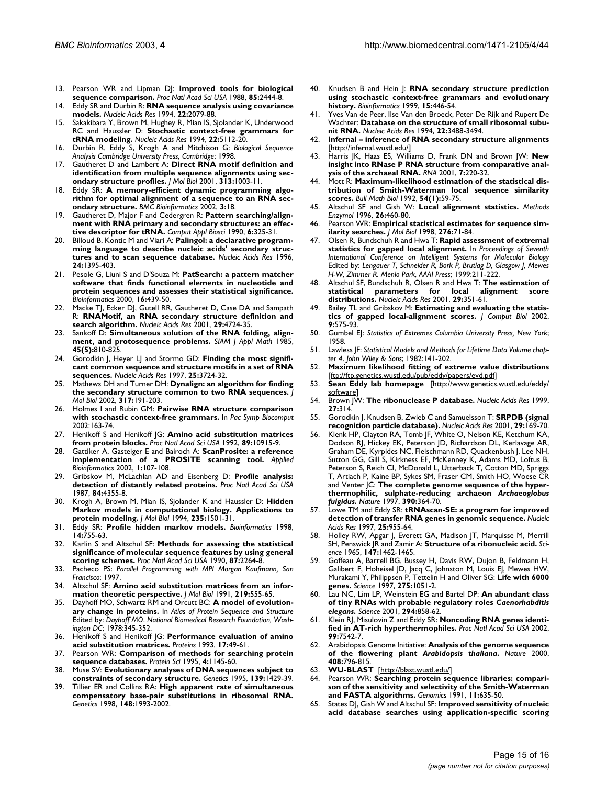- 13. Pearson WR and Lipman DJ: **[Improved tools for biological](http://www.ncbi.nlm.nih.gov/entrez/query.fcgi?cmd=Retrieve&db=PubMed&dopt=Abstract&list_uids=3162770) [sequence comparison.](http://www.ncbi.nlm.nih.gov/entrez/query.fcgi?cmd=Retrieve&db=PubMed&dopt=Abstract&list_uids=3162770)** *Proc Natl Acad Sci USA* 1988, **85:**2444-8.
- 14. Eddy SR and Durbin R: **[RNA sequence analysis using covariance](http://www.ncbi.nlm.nih.gov/entrez/query.fcgi?cmd=Retrieve&db=PubMed&dopt=Abstract&list_uids=8029015) [models.](http://www.ncbi.nlm.nih.gov/entrez/query.fcgi?cmd=Retrieve&db=PubMed&dopt=Abstract&list_uids=8029015)** *Nucleic Acids Res* 1994, **22:**2079-88.
- 15. Sakakibara Y, Brown M, Hughey R, Mian IS, Sjolander K, Underwood RC and Haussler D: **[Stochastic context-free grammars for](http://www.ncbi.nlm.nih.gov/entrez/query.fcgi?cmd=Retrieve&db=PubMed&dopt=Abstract&list_uids=7800507) [tRNA modeling.](http://www.ncbi.nlm.nih.gov/entrez/query.fcgi?cmd=Retrieve&db=PubMed&dopt=Abstract&list_uids=7800507)** *Nucleic Acids Res* 1994, **22:**5112-20.
- 16. Durbin R, Eddy S, Krogh A and Mitchison G: *Biological Sequence Analysis Cambridge University Press, Cambridge*; 1998.
- 17. Gautheret D and Lambert A: **[Direct RNA motif definition and](http://www.ncbi.nlm.nih.gov/entrez/query.fcgi?cmd=Retrieve&db=PubMed&dopt=Abstract&list_uids=10.1006/jmbi.2001.5102) [identification from multiple sequence alignments using sec](http://www.ncbi.nlm.nih.gov/entrez/query.fcgi?cmd=Retrieve&db=PubMed&dopt=Abstract&list_uids=10.1006/jmbi.2001.5102)[ondary structure profiles](http://www.ncbi.nlm.nih.gov/entrez/query.fcgi?cmd=Retrieve&db=PubMed&dopt=Abstract&list_uids=10.1006/jmbi.2001.5102)[.](http://www.ncbi.nlm.nih.gov/entrez/query.fcgi?cmd=Retrieve&db=PubMed&dopt=Abstract&list_uids=11700055)** *J Mol Biol* 2001, **313:**1003-11.
- 18. Eddy SR: **[A memory-efficient dynamic programming algo](http://www.ncbi.nlm.nih.gov/entrez/query.fcgi?cmd=Retrieve&db=PubMed&dopt=Abstract&list_uids=119854)[rithm for optimal alignment of a sequence to an RNA sec](http://www.ncbi.nlm.nih.gov/entrez/query.fcgi?cmd=Retrieve&db=PubMed&dopt=Abstract&list_uids=119854)[ondary structure](http://www.ncbi.nlm.nih.gov/entrez/query.fcgi?cmd=Retrieve&db=PubMed&dopt=Abstract&list_uids=119854)[.](http://www.ncbi.nlm.nih.gov/entrez/query.fcgi?cmd=Retrieve&db=PubMed&dopt=Abstract&list_uids=10.1186/1471-2105-3-18)** *BMC Bioinformatics* 2002, **3:**18.
- 19. Gautheret D, Major F and Cedergren R: **[Pattern searching/align](http://www.ncbi.nlm.nih.gov/entrez/query.fcgi?cmd=Retrieve&db=PubMed&dopt=Abstract&list_uids=1701686)[ment with RNA primary and secondary structures: an effec](http://www.ncbi.nlm.nih.gov/entrez/query.fcgi?cmd=Retrieve&db=PubMed&dopt=Abstract&list_uids=1701686)[tive descriptor for tRNA.](http://www.ncbi.nlm.nih.gov/entrez/query.fcgi?cmd=Retrieve&db=PubMed&dopt=Abstract&list_uids=1701686)** *Comput Appl Biosci* 1990, **6:**325-31.
- 20. Billoud B, Kontic M and Viari A: **[Palingol: a declarative program](http://www.ncbi.nlm.nih.gov/entrez/query.fcgi?cmd=Retrieve&db=PubMed&dopt=Abstract&list_uids=145829)[ming language to describe nucleic acids' secondary struc](http://www.ncbi.nlm.nih.gov/entrez/query.fcgi?cmd=Retrieve&db=PubMed&dopt=Abstract&list_uids=145829)[tures and to scan sequence database](http://www.ncbi.nlm.nih.gov/entrez/query.fcgi?cmd=Retrieve&db=PubMed&dopt=Abstract&list_uids=145829)[.](http://www.ncbi.nlm.nih.gov/entrez/query.fcgi?cmd=Retrieve&db=PubMed&dopt=Abstract&list_uids=10.1093/nar/24.8.1395)** *Nucleic Acids Res* 1996, **24:**1395-403.
- 21. Pesole G, Liuni S and D'Souza M: **[PatSearch: a pattern matcher](http://www.ncbi.nlm.nih.gov/entrez/query.fcgi?cmd=Retrieve&db=PubMed&dopt=Abstract&list_uids=10.1093/bioinformatics/16.5.439) [software that finds functional elements in nucleotide and](http://www.ncbi.nlm.nih.gov/entrez/query.fcgi?cmd=Retrieve&db=PubMed&dopt=Abstract&list_uids=10.1093/bioinformatics/16.5.439) [protein sequences and assesses their statistical significance](http://www.ncbi.nlm.nih.gov/entrez/query.fcgi?cmd=Retrieve&db=PubMed&dopt=Abstract&list_uids=10.1093/bioinformatics/16.5.439)[.](http://www.ncbi.nlm.nih.gov/entrez/query.fcgi?cmd=Retrieve&db=PubMed&dopt=Abstract&list_uids=10871266)** *Bioinformatics* 2000, **16:**439-50.
- 22. Macke TJ, Ecker DJ, Gutell RR, Gautheret D, Case DA and Sampath R: **[RNAMotif, an RNA secondary structure definition and](http://www.ncbi.nlm.nih.gov/entrez/query.fcgi?cmd=Retrieve&db=PubMed&dopt=Abstract&list_uids=92549) [search algorithm](http://www.ncbi.nlm.nih.gov/entrez/query.fcgi?cmd=Retrieve&db=PubMed&dopt=Abstract&list_uids=92549)[.](http://www.ncbi.nlm.nih.gov/entrez/query.fcgi?cmd=Retrieve&db=PubMed&dopt=Abstract&list_uids=10.1093/nar/29.22.4724)** *Nucleic Acids Res* 2001, **29:**4724-35.
- 23. Sankoff D: **Simultaneous solution of the RNA folding, alignment, and protosequence problems.** *SIAM J Appl Math* 1985, **45(5):**810-825.
- 24. Gorodkin J, Heyer LJ and Stormo GD: **[Finding the most signifi](http://www.ncbi.nlm.nih.gov/entrez/query.fcgi?cmd=Retrieve&db=PubMed&dopt=Abstract&list_uids=146942)[cant common sequence and structure motifs in a set of RNA](http://www.ncbi.nlm.nih.gov/entrez/query.fcgi?cmd=Retrieve&db=PubMed&dopt=Abstract&list_uids=146942) [sequences](http://www.ncbi.nlm.nih.gov/entrez/query.fcgi?cmd=Retrieve&db=PubMed&dopt=Abstract&list_uids=146942)[.](http://www.ncbi.nlm.nih.gov/entrez/query.fcgi?cmd=Retrieve&db=PubMed&dopt=Abstract&list_uids=10.1093/nar/25.18.3724)** *Nucleic Acids Res* 1997, **25:**3724-32.
- 25. Mathews DH and Turner DH: **[Dynalign: an algorithm for finding](http://www.ncbi.nlm.nih.gov/entrez/query.fcgi?cmd=Retrieve&db=PubMed&dopt=Abstract&list_uids=10.1006/jmbi.2001.5351) [the secondary structure common to two RNA sequences](http://www.ncbi.nlm.nih.gov/entrez/query.fcgi?cmd=Retrieve&db=PubMed&dopt=Abstract&list_uids=10.1006/jmbi.2001.5351)[.](http://www.ncbi.nlm.nih.gov/entrez/query.fcgi?cmd=Retrieve&db=PubMed&dopt=Abstract&list_uids=11902836)** *J Mol Biol* 2002, **317:**191-203.
- 26. Holmes I and Rubin GM: **Pairwise RNA structure comparison with stochastic context-free grammars.** In *Pac Symp Biocomput* 2002:163-74.
- 27. Henikoff S and Henikoff JG: **[Amino acid substitution matrices](http://www.ncbi.nlm.nih.gov/entrez/query.fcgi?cmd=Retrieve&db=PubMed&dopt=Abstract&list_uids=50453) [from protein blocks](http://www.ncbi.nlm.nih.gov/entrez/query.fcgi?cmd=Retrieve&db=PubMed&dopt=Abstract&list_uids=50453)[.](http://www.ncbi.nlm.nih.gov/entrez/query.fcgi?cmd=Retrieve&db=PubMed&dopt=Abstract&list_uids=1438297)** *Proc Natl Acad Sci USA* 1992, **89:**10915-9.
- 28. Gattiker A, Gasteiger E and Bairoch A: **ScanProsite: a reference implementation of a PROSITE scanning tool.** *Applied Bioinformatics* 2002, **1:**107-108.
- 29. Gribskov M, McLachlan AD and Eisenberg D: **[Profile analysis:](http://www.ncbi.nlm.nih.gov/entrez/query.fcgi?cmd=Retrieve&db=PubMed&dopt=Abstract&list_uids=3474607) [detection of distantly related proteins.](http://www.ncbi.nlm.nih.gov/entrez/query.fcgi?cmd=Retrieve&db=PubMed&dopt=Abstract&list_uids=3474607)** *Proc Natl Acad Sci USA* 1987, **84:**4355-8.
- 30. Krogh A, Brown M, Mian IS, Sjolander K and Haussler D: **[Hidden](http://www.ncbi.nlm.nih.gov/entrez/query.fcgi?cmd=Retrieve&db=PubMed&dopt=Abstract&list_uids=10.1006/jmbi.1994.1104) [Markov models in computational biology. Applications to](http://www.ncbi.nlm.nih.gov/entrez/query.fcgi?cmd=Retrieve&db=PubMed&dopt=Abstract&list_uids=10.1006/jmbi.1994.1104) [protein modeling](http://www.ncbi.nlm.nih.gov/entrez/query.fcgi?cmd=Retrieve&db=PubMed&dopt=Abstract&list_uids=10.1006/jmbi.1994.1104)[.](http://www.ncbi.nlm.nih.gov/entrez/query.fcgi?cmd=Retrieve&db=PubMed&dopt=Abstract&list_uids=8107089)** *J Mol Biol* 1994, **235:**1501-31.
- 31. Eddy SR: **[Profile hidden markov models](http://www.ncbi.nlm.nih.gov/entrez/query.fcgi?cmd=Retrieve&db=PubMed&dopt=Abstract&list_uids=10.1093/bioinformatics/14.9.755)[.](http://www.ncbi.nlm.nih.gov/entrez/query.fcgi?cmd=Retrieve&db=PubMed&dopt=Abstract&list_uids=9918945)** *Bioinformatics* 1998, **14:**755-63.
- 32. Karlin S and Altschul SF: **[Methods for assessing the statistical](http://www.ncbi.nlm.nih.gov/entrez/query.fcgi?cmd=Retrieve&db=PubMed&dopt=Abstract&list_uids=53667) [significance of molecular sequence features by using general](http://www.ncbi.nlm.nih.gov/entrez/query.fcgi?cmd=Retrieve&db=PubMed&dopt=Abstract&list_uids=53667) [scoring schemes](http://www.ncbi.nlm.nih.gov/entrez/query.fcgi?cmd=Retrieve&db=PubMed&dopt=Abstract&list_uids=53667)[.](http://www.ncbi.nlm.nih.gov/entrez/query.fcgi?cmd=Retrieve&db=PubMed&dopt=Abstract&list_uids=2315319)** *Proc Natl Acad Sci USA* 1990, **87:**2264-8.
- 33. Pacheco PS: *Parallel Programming with MPI Morgan Kaufmann, San Francisco*; 1997.
- 34. Altschul SF: **[Amino acid substitution matrices from an infor](http://www.ncbi.nlm.nih.gov/entrez/query.fcgi?cmd=Retrieve&db=PubMed&dopt=Abstract&list_uids=2051488)[mation theoretic perspective.](http://www.ncbi.nlm.nih.gov/entrez/query.fcgi?cmd=Retrieve&db=PubMed&dopt=Abstract&list_uids=2051488)** *J Mol Biol* 1991, **219:**555-65.
- 35. Dayhoff MO, Schwartz RM and Orcutt BC: **A model of evolutionary change in proteins.** In *Atlas of Protein Sequence and Structure* Edited by: *Dayhoff MO*. *National Biomedical Research Foundation, Washington DC*; 1978:345-352.
- 36. Henikoff S and Henikoff JG: **[Performance evaluation of amino](http://www.ncbi.nlm.nih.gov/entrez/query.fcgi?cmd=Retrieve&db=PubMed&dopt=Abstract&list_uids=8234244) [acid substitution matrices.](http://www.ncbi.nlm.nih.gov/entrez/query.fcgi?cmd=Retrieve&db=PubMed&dopt=Abstract&list_uids=8234244)** *Proteins* 1993, **17:**49-61.
- 37. Pearson WR: **[Comparison of methods for searching protein](http://www.ncbi.nlm.nih.gov/entrez/query.fcgi?cmd=Retrieve&db=PubMed&dopt=Abstract&list_uids=7549879) [sequence databases.](http://www.ncbi.nlm.nih.gov/entrez/query.fcgi?cmd=Retrieve&db=PubMed&dopt=Abstract&list_uids=7549879)** *Protein Sci* 1995, **4:**1145-60.
- 38. Muse SV: **[Evolutionary analyses of DNA sequences subject to](http://www.ncbi.nlm.nih.gov/entrez/query.fcgi?cmd=Retrieve&db=PubMed&dopt=Abstract&list_uids=7768450) [constraints of secondary structure.](http://www.ncbi.nlm.nih.gov/entrez/query.fcgi?cmd=Retrieve&db=PubMed&dopt=Abstract&list_uids=7768450)** *Genetics* 1995, **139:**1429-39.
- 39. Tillier ER and Collins RA: **[High apparent rate of simultaneous](http://www.ncbi.nlm.nih.gov/entrez/query.fcgi?cmd=Retrieve&db=PubMed&dopt=Abstract&list_uids=9560412) [compensatory base-pair substitutions in ribosomal RNA.](http://www.ncbi.nlm.nih.gov/entrez/query.fcgi?cmd=Retrieve&db=PubMed&dopt=Abstract&list_uids=9560412)** *Genetics* 1998, **148:**1993-2002.
- 40. Knudsen B and Hein J: **[RNA secondary structure prediction](http://www.ncbi.nlm.nih.gov/entrez/query.fcgi?cmd=Retrieve&db=PubMed&dopt=Abstract&list_uids=10.1093/bioinformatics/15.6.446) [using stochastic context-free grammars and evolutionary](http://www.ncbi.nlm.nih.gov/entrez/query.fcgi?cmd=Retrieve&db=PubMed&dopt=Abstract&list_uids=10.1093/bioinformatics/15.6.446) [history](http://www.ncbi.nlm.nih.gov/entrez/query.fcgi?cmd=Retrieve&db=PubMed&dopt=Abstract&list_uids=10.1093/bioinformatics/15.6.446)[.](http://www.ncbi.nlm.nih.gov/entrez/query.fcgi?cmd=Retrieve&db=PubMed&dopt=Abstract&list_uids=10383470)** *Bioinformatics* 1999, **15:**446-54.
- 41. Yves Van de Peer, Ilse Van den Broeck, Peter De Rijk and Rupert De Wachter: **[Database on the structure of small ribosomal subu](http://www.ncbi.nlm.nih.gov/entrez/query.fcgi?cmd=Retrieve&db=PubMed&dopt=Abstract&list_uids=7524022)[nit RNA.](http://www.ncbi.nlm.nih.gov/entrez/query.fcgi?cmd=Retrieve&db=PubMed&dopt=Abstract&list_uids=7524022)** *Nucleic Acids Res* 1994, **22:**3488-3494.
- 42. **Infernal inference of RNA secondary structure alignments** [<http://infernal.wustl.edu/>]
- 43. Harris JK, Haas ES, Williams D, Frank DN and Brown JW: **[New](http://www.ncbi.nlm.nih.gov/entrez/query.fcgi?cmd=Retrieve&db=PubMed&dopt=Abstract&list_uids=10.1017/S1355838201001777) [insight into RNase P RNA structure from comparative anal](http://www.ncbi.nlm.nih.gov/entrez/query.fcgi?cmd=Retrieve&db=PubMed&dopt=Abstract&list_uids=10.1017/S1355838201001777)[ysis of the archaeal RNA](http://www.ncbi.nlm.nih.gov/entrez/query.fcgi?cmd=Retrieve&db=PubMed&dopt=Abstract&list_uids=10.1017/S1355838201001777)[.](http://www.ncbi.nlm.nih.gov/entrez/query.fcgi?cmd=Retrieve&db=PubMed&dopt=Abstract&list_uids=11233979)** *RNA* 2001, **7:**220-32.
- 44. Mott R: **Maximum-likelihood estimation of the statistical distribution of Smith-Waterman local sequence similarity scores.** *Bull Math Biol* 1992, **54(1):**59-75.
- 45. Altschul SF and Gish W: **Local alignment statistics.** *Methods Enzymol* 1996, **26:**460-80.
- 46. Pearson WR: **[Empirical statistical estimates for sequence sim](http://www.ncbi.nlm.nih.gov/entrez/query.fcgi?cmd=Retrieve&db=PubMed&dopt=Abstract&list_uids=10.1006/jmbi.1997.1525)[ilarity searches](http://www.ncbi.nlm.nih.gov/entrez/query.fcgi?cmd=Retrieve&db=PubMed&dopt=Abstract&list_uids=10.1006/jmbi.1997.1525)[.](http://www.ncbi.nlm.nih.gov/entrez/query.fcgi?cmd=Retrieve&db=PubMed&dopt=Abstract&list_uids=9514730)** *J Mol Biol* 1998, **276:**71-84.
- 47. Olsen R, Bundschuh R and Hwa T: **Rapid assessment of extremal statistics for gapped local alignment.** In *Proceedings of Seventh International Conference on Intelligent Systems for Molecular Biology* Edited by: *Lengauer T, Schneider R, Bork P, Brutlag D, Glasgow J, Mewes H-W, Zimmer R*. *Menlo Park, AAAI Press*; 1999:211-222.
- 48. Altschul SF, Bundschuh R, Olsen R and Hwa T: **[The estimation of](http://www.ncbi.nlm.nih.gov/entrez/query.fcgi?cmd=Retrieve&db=PubMed&dopt=Abstract&list_uids=29669) [statistical parameters for local alignment score](http://www.ncbi.nlm.nih.gov/entrez/query.fcgi?cmd=Retrieve&db=PubMed&dopt=Abstract&list_uids=29669) [distributions](http://www.ncbi.nlm.nih.gov/entrez/query.fcgi?cmd=Retrieve&db=PubMed&dopt=Abstract&list_uids=29669)[.](http://www.ncbi.nlm.nih.gov/entrez/query.fcgi?cmd=Retrieve&db=PubMed&dopt=Abstract&list_uids=10.1093/nar/29.2.351)** *Nucleic Acids Res* 2001, **29:**351-61.
- Bailey TL and Gribskov M: [Estimating and evaluating the statis](http://www.ncbi.nlm.nih.gov/entrez/query.fcgi?cmd=Retrieve&db=PubMed&dopt=Abstract&list_uids=10.1089/106652702760138637)**[tics of gapped local-alignment scores](http://www.ncbi.nlm.nih.gov/entrez/query.fcgi?cmd=Retrieve&db=PubMed&dopt=Abstract&list_uids=10.1089/106652702760138637)[.](http://www.ncbi.nlm.nih.gov/entrez/query.fcgi?cmd=Retrieve&db=PubMed&dopt=Abstract&list_uids=12162893)** *J Comput Biol* 2002, **9:**575-93.
- 50. Gumbel EJ: *Statistics of Extremes Columbia University Press, New York*; 1958.
- 51. Lawless JF: *Statistical Models and Methods for Lifetime Data Volume chapter 4*. *John Wiley & Sons*; 1982:141-202.
- 52. **Maximum likelihood fitting of extreme value distributions** [[ftp://ftp.genetics.wustl.edu/pub/eddy/papers/evd.pdf\]](ftp://ftp.genetics.wustl.edu/pub/eddy/papers/evd.pdf)
- 53. **Sean Eddy lab homepage** [[http://www.genetics.wustl.edu/eddy/](http://www.genetics.wustl.edu/eddy/software) [software](http://www.genetics.wustl.edu/eddy/software)]
- 54. Brown JW: **[The ribonuclease P database](http://www.ncbi.nlm.nih.gov/entrez/query.fcgi?cmd=Retrieve&db=PubMed&dopt=Abstract&list_uids=148169)[.](http://www.ncbi.nlm.nih.gov/entrez/query.fcgi?cmd=Retrieve&db=PubMed&dopt=Abstract&list_uids=10.1093/nar/27.1.314)** *Nucleic Acids Res* 1999, **27:**314.
- 55. Gorodkin J, Knudsen B, Zwieb C and Samuelsson T: **[SRPDB \(signal](http://www.ncbi.nlm.nih.gov/entrez/query.fcgi?cmd=Retrieve&db=PubMed&dopt=Abstract&list_uids=29779) [recognition particle database\)](http://www.ncbi.nlm.nih.gov/entrez/query.fcgi?cmd=Retrieve&db=PubMed&dopt=Abstract&list_uids=29779)[.](http://www.ncbi.nlm.nih.gov/entrez/query.fcgi?cmd=Retrieve&db=PubMed&dopt=Abstract&list_uids=10.1093/nar/29.1.169)** *Nucleic Acids Res* 2001, **29:**169-70.
- 56. Klenk HP, Clayton RA, Tomb JF, White O, Nelson KE, Ketchum KA, Dodson RJ, Hickey EK, Peterson JD, Richardson DL, Kerlavage AR, Graham DE, Kyrpides NC, Fleischmann RD, Quackenbush J, Lee NH, Sutton GG, Gill S, Kirkness EF, McKenney K, Adams MD, Loftus B, Peterson S, Reich CI, McDonald L, Utterback T, Cotton MD, Spriggs T, Artiach P, Kaine BP, Sykes SM, Fraser CM, Smith HO, Woese CR and Venter JC: **The complete genome sequence of the hyperthermophilic, sulphate-reducing archaeon** *Archaeoglobus fulgidus***[.](http://www.ncbi.nlm.nih.gov/entrez/query.fcgi?cmd=Retrieve&db=PubMed&dopt=Abstract&list_uids=9389475)** *Nature* 1997, **390:**364-70.
- 57. Lowe TM and Eddy SR: **[tRNAscan-SE: a program for improved](http://www.ncbi.nlm.nih.gov/entrez/query.fcgi?cmd=Retrieve&db=PubMed&dopt=Abstract&list_uids=146525) [detection of transfer RNA genes in genomic sequence](http://www.ncbi.nlm.nih.gov/entrez/query.fcgi?cmd=Retrieve&db=PubMed&dopt=Abstract&list_uids=146525)[.](http://www.ncbi.nlm.nih.gov/entrez/query.fcgi?cmd=Retrieve&db=PubMed&dopt=Abstract&list_uids=10.1093/nar/25.5.955)** *Nucleic Acids Res* 1997, **25:**955-64.
- 58. Holley RW, Apgar J, Everett GA, Madison JT, Marquisse M, Merrill SH, Penswick JR and Zamir A: **[Structure of a ribonucleic acid.](http://www.ncbi.nlm.nih.gov/entrez/query.fcgi?cmd=Retrieve&db=PubMed&dopt=Abstract&list_uids=14263761)** *Science* 1965, **147:**1462-1465.
- 59. Goffeau A, Barrell BG, Bussey H, Davis RW, Dujon B, Feldmann H, Galibert F, Hoheisel JD, Jacq C, Johnston M, Louis EJ, Mewes HW, Murakami Y, Philippsen P, Tettelin H and Oliver SG: **Life with 6000 genes.** *Science* 1997, **275:**1051-2.
- 60. Lau NC, Lim LP, Weinstein EG and Bartel DP: **An abundant class of tiny RNAs with probable regulatory roles** *Caenorhabditis elegans***[.](http://www.ncbi.nlm.nih.gov/entrez/query.fcgi?cmd=Retrieve&db=PubMed&dopt=Abstract&list_uids=11679671)** *Science* 2001, **294:**858-62.
- Klein RJ, Misulovin Z and Eddy SR: **[Noncoding RNA genes identi](http://www.ncbi.nlm.nih.gov/entrez/query.fcgi?cmd=Retrieve&db=PubMed&dopt=Abstract&list_uids=124278)[fied in AT-rich hyperthermophiles](http://www.ncbi.nlm.nih.gov/entrez/query.fcgi?cmd=Retrieve&db=PubMed&dopt=Abstract&list_uids=124278)[.](http://www.ncbi.nlm.nih.gov/entrez/query.fcgi?cmd=Retrieve&db=PubMed&dopt=Abstract&list_uids=10.1073/pnas.112063799)** *Proc Natl Acad Sci USA* 2002, **99:**7542-7.
- 62. Arabidopsis Genome Initiative: **Analysis of the genome sequence of the flowering plant** *Arabidopsis thaliana***[.](http://www.ncbi.nlm.nih.gov/entrez/query.fcgi?cmd=Retrieve&db=PubMed&dopt=Abstract&list_uids=11130711)** *Nature* 2000, **408:**796-815.
- 63. **WU-BLAST** [\[http://blast.wustl.edu/](http://blast.wustl.edu/)]
- 64. Pearson WR: **[Searching protein sequence libraries: compari](http://www.ncbi.nlm.nih.gov/entrez/query.fcgi?cmd=Retrieve&db=PubMed&dopt=Abstract&list_uids=1774068)[son of the sensitivity and selectivity of the Smith-Waterman](http://www.ncbi.nlm.nih.gov/entrez/query.fcgi?cmd=Retrieve&db=PubMed&dopt=Abstract&list_uids=1774068) [and FASTA algorithms.](http://www.ncbi.nlm.nih.gov/entrez/query.fcgi?cmd=Retrieve&db=PubMed&dopt=Abstract&list_uids=1774068)** *Genomics* 1991, **11:**635-50.
- 65. States DJ, Gish W and Altschul SF: **Improved sensitivity of nucleic acid database searches using application-specific scoring**